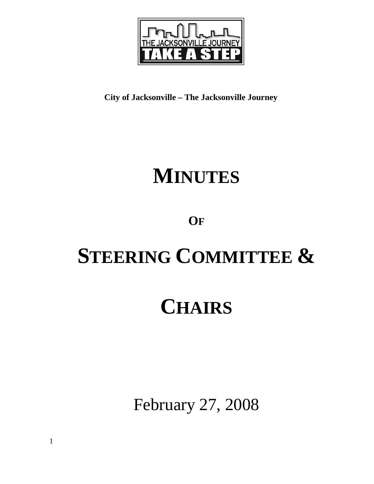

**City of Jacksonville – The Jacksonville Journey** 

# **MINUTES**

# **OF**

# **STEERING COMMITTEE &**

# **CHAIRS**

February 27, 2008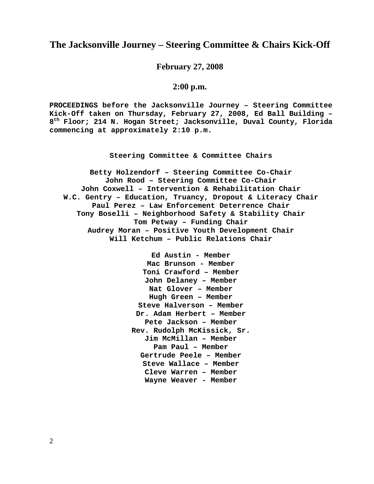# **The Jacksonville Journey – Steering Committee & Chairs Kick-Off**

**February 27, 2008** 

# **2:00 p.m.**

**PROCEEDINGS before the Jacksonville Journey – Steering Committee Kick-Off taken on Thursday, February 27, 2008, Ed Ball Building – 8th Floor; 214 N. Hogan Street; Jacksonville, Duval County, Florida commencing at approximately 2:10 p.m.** 

**Steering Committee & Committee Chairs**

**Betty Holzendorf – Steering Committee Co-Chair John Rood – Steering Committee Co-Chair John Coxwell – Intervention & Rehabilitation Chair W.C. Gentry – Education, Truancy, Dropout & Literacy Chair Paul Perez – Law Enforcement Deterrence Chair Tony Boselli – Neighborhood Safety & Stability Chair Tom Petway – Funding Chair Audrey Moran – Positive Youth Development Chair Will Ketchum – Public Relations Chair** 

> **Ed Austin - Member Mac Brunson - Member Toni Crawford – Member John Delaney – Member Nat Glover – Member Hugh Green – Member Steve Halverson – Member Dr. Adam Herbert – Member Pete Jackson – Member Rev. Rudolph McKissick, Sr. Jim McMillan – Member Pam Paul – Member Gertrude Peele – Member Steve Wallace – Member Cleve Warren – Member Wayne Weaver - Member**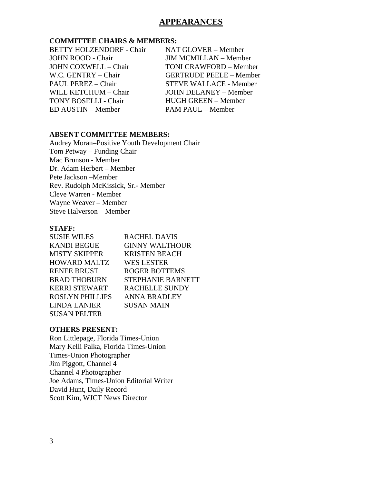# **APPEARANCES**

# **COMMITTEE CHAIRS & MEMBERS:**

BETTY HOLZENDORF - Chair JOHN ROOD - Chair JOHN COXWELL – Chair W.C. GENTRY – Chair PAUL PEREZ – Chair WILL KETCHUM – Chair TONY BOSELLI - Chair ED AUSTIN – Member

NAT GLOVER – Member JIM MCMILLAN – Member TONI CRAWFORD – Member GERTRUDE PEELE – Member STEVE WALLACE - Member JOHN DELANEY – Member HUGH GREEN – Member PAM PAUL – Member

# **ABSENT COMMITTEE MEMBERS:**

Audrey Moran–Positive Youth Development Chair Tom Petway – Funding Chair Mac Brunson - Member Dr. Adam Herbert – Member Pete Jackson –Member Rev. Rudolph McKissick, Sr.- Member Cleve Warren - Member Wayne Weaver – Member Steve Halverson – Member

# **STAFF:**

| <b>SUSIE WILES</b>     | <b>RACHEL DAVIS</b>      |
|------------------------|--------------------------|
| <b>KANDI BEGUE</b>     | <b>GINNY WALTHOUR</b>    |
| <b>MISTY SKIPPER</b>   | <b>KRISTEN BEACH</b>     |
| <b>HOWARD MALTZ</b>    | <b>WES LESTER</b>        |
| <b>RENEE BRUST</b>     | <b>ROGER BOTTEMS</b>     |
| <b>BRAD THOBURN</b>    | <b>STEPHANIE BARNETT</b> |
| <b>KERRI STEWART</b>   | <b>RACHELLE SUNDY</b>    |
| <b>ROSLYN PHILLIPS</b> | <b>ANNA BRADLEY</b>      |
| <b>LINDA LANIER</b>    | SUSAN MAIN               |
| <b>SUSAN PELTER</b>    |                          |

# **OTHERS PRESENT:**

Ron Littlepage, Florida Times-Union Mary Kelli Palka, Florida Times-Union Times-Union Photographer Jim Piggott, Channel 4 Channel 4 Photographer Joe Adams, Times-Union Editorial Writer David Hunt, Daily Record Scott Kim, WJCT News Director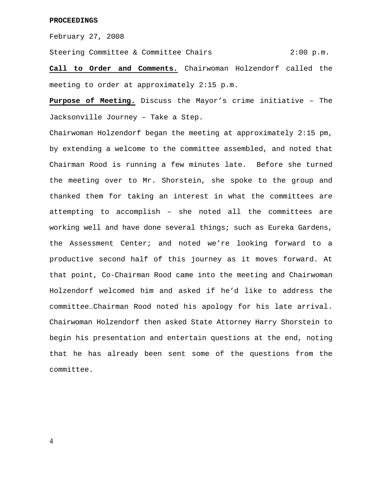February 27, 2008

Steering Committee & Committee Chairs 2:00 p.m.

**Call to Order and Comments.** Chairwoman Holzendorf called the meeting to order at approximately 2:15 p.m.

**Purpose of Meeting.** Discuss the Mayor's crime initiative – The Jacksonville Journey – Take a Step.

Chairwoman Holzendorf began the meeting at approximately 2:15 pm, by extending a welcome to the committee assembled, and noted that Chairman Rood is running a few minutes late. Before she turned the meeting over to Mr. Shorstein, she spoke to the group and thanked them for taking an interest in what the committees are attempting to accomplish – she noted all the committees are working well and have done several things; such as Eureka Gardens, the Assessment Center; and noted we're looking forward to a productive second half of this journey as it moves forward. At that point, Co-Chairman Rood came into the meeting and Chairwoman Holzendorf welcomed him and asked if he'd like to address the committee…Chairman Rood noted his apology for his late arrival. Chairwoman Holzendorf then asked State Attorney Harry Shorstein to begin his presentation and entertain questions at the end, noting that he has already been sent some of the questions from the committee.

4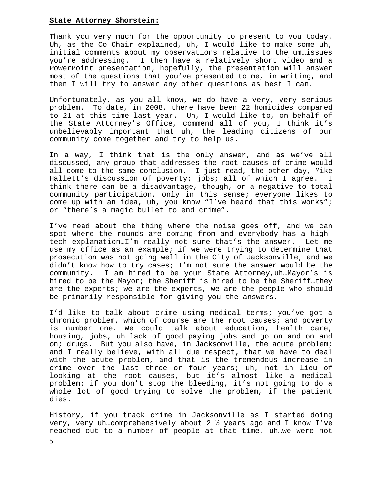# **State Attorney Shorstein:**

Thank you very much for the opportunity to present to you today. Uh, as the Co-Chair explained, uh, I would like to make some uh, initial comments about my observations relative to the um…issues you're addressing. I then have a relatively short video and a PowerPoint presentation; hopefully, the presentation will answer most of the questions that you've presented to me, in writing, and then I will try to answer any other questions as best I can.

Unfortunately, as you all know, we do have a very, very serious problem. To date, in 2008, there have been 22 homicides compared to 21 at this time last year. Uh, I would like to, on behalf of the State Attorney's Office, commend all of you, I think it's unbelievably important that uh, the leading citizens of our community come together and try to help us.

In a way, I think that is the only answer, and as we've all discussed, any group that addresses the root causes of crime would all come to the same conclusion. I just read, the other day, Mike Hallett's discussion of poverty; jobs; all of which I agree. I think there can be a disadvantage, though, or a negative to total community participation, only in this sense; everyone likes to come up with an idea, uh, you know "I've heard that this works"; or "there's a magic bullet to end crime".

I've read about the thing where the noise goes off, and we can spot where the rounds are coming from and everybody has a hightech explanation…I'm really not sure that's the answer. Let me use my office as an example; if we were trying to determine that prosecution was not going well in the City of Jacksonville, and we didn't know how to try cases; I'm not sure the answer would be the community. I am hired to be your State Attorney,uh…Mayor's is hired to be the Mayor; the Sheriff is hired to be the Sheriff…they are the experts; we are the experts, we are the people who should be primarily responsible for giving you the answers.

I'd like to talk about crime using medical terms; you've got a chronic problem, which of course are the root causes; and poverty is number one. We could talk about education, health care, housing, jobs, uh…lack of good paying jobs and go on and on and on; drugs. But you also have, in Jacksonville, the acute problem; and I really believe, with all due respect, that we have to deal with the acute problem, and that is the tremendous increase in crime over the last three or four years; uh, not in lieu of looking at the root causes, but it's almost like a medical problem; if you don't stop the bleeding, it's not going to do a whole lot of good trying to solve the problem, if the patient dies.

History, if you track crime in Jacksonville as I started doing very, very uh…comprehensively about 2 ½ years ago and I know I've reached out to a number of people at that time, uh…we were not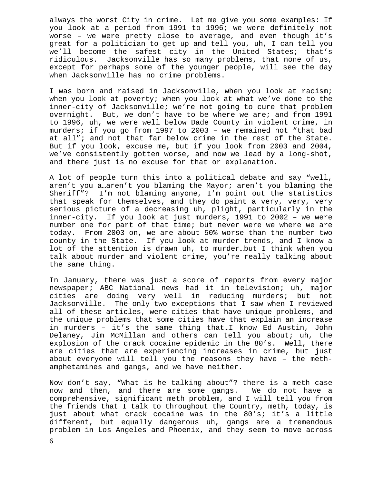always the worst City in crime. Let me give you some examples: If you look at a period from 1991 to 1996; we were definitely not worse – we were pretty close to average, and even though it's great for a politician to get up and tell you, uh, I can tell you we'll become the safest city in the United States; that's ridiculous. Jacksonville has so many problems, that none of us, except for perhaps some of the younger people, will see the day when Jacksonville has no crime problems.

I was born and raised in Jacksonville, when you look at racism; when you look at poverty; when you look at what we've done to the inner-city of Jacksonville; we're not going to cure that problem overnight. But, we don't have to be where we are; and from 1991 to 1996, uh, we were well below Dade County in violent crime, in murders; if you go from 1997 to 2003 – we remained not "that bad at all"; and not that far below crime in the rest of the State. But if you look, excuse me, but if you look from 2003 and 2004, we've consistently gotten worse, and now we lead by a long-shot, and there just is no excuse for that or explanation.

A lot of people turn this into a political debate and say "well, aren't you a…aren't you blaming the Mayor; aren't you blaming the Sheriff"? I'm not blaming anyone, I'm point out the statistics that speak for themselves, and they do paint a very, very, very serious picture of a decreasing uh, plight, particularly in the inner-city. If you look at just murders, 1991 to 2002 – we were number one for part of that time; but never were we where we are today. From 2003 on, we are about 50% worse than the number two county in the State. If you look at murder trends, and I know a lot of the attention is drawn uh, to murder…but I think when you talk about murder and violent crime, you're really talking about the same thing.

In January, there was just a score of reports from every major newspaper; ABC National news had it in television; uh, major cities are doing very well in reducing murders; but not Jacksonville. The only two exceptions that I saw when I reviewed all of these articles, were cities that have unique problems, and the unique problems that some cities have that explain an increase in murders – it's the same thing that…I know Ed Austin, John Delaney, Jim McMillan and others can tell you about; uh, the explosion of the crack cocaine epidemic in the 80's. Well, there are cities that are experiencing increases in crime, but just about everyone will tell you the reasons they have – the methamphetamines and gangs, and we have neither.

Now don't say, "What is he talking about"? there is a meth case now and then, and there are some gangs. We do not have a comprehensive, significant meth problem, and I will tell you from the friends that I talk to throughout the Country, meth, today, is just about what crack cocaine was in the 80's; it's a little different, but equally dangerous uh, gangs are a tremendous problem in Los Angeles and Phoenix, and they seem to move across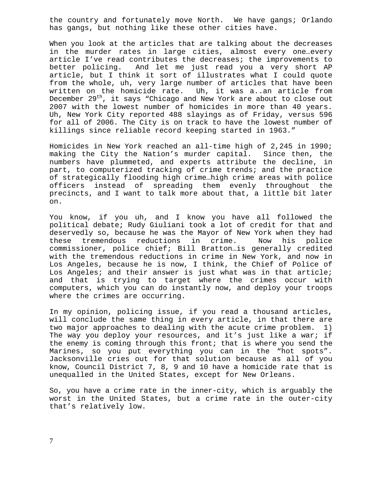the country and fortunately move North. We have gangs; Orlando has gangs, but nothing like these other cities have.

When you look at the articles that are talking about the decreases in the murder rates in large cities, almost every one…every article I've read contributes the decreases; the improvements to better policing. And let me just read you a very short AP article, but I think it sort of illustrates what I could quote from the whole, uh, very large number of articles that have been written on the homicide rate. Uh, it was a..an article from December 29<sup>th</sup>, it says "Chicago and New York are about to close out 2007 with the lowest number of homicides in more than 40 years. Uh, New York City reported 488 slayings as of Friday, versus 596 for all of 2006. The City is on track to have the lowest number of killings since reliable record keeping started in 1963."

Homicides in New York reached an all-time high of 2,245 in 1990; making the City the Nation's murder capital. Since then, the numbers have plummeted, and experts attribute the decline, in part, to computerized tracking of crime trends; and the practice of strategically flooding high crime…high crime areas with police officers instead of spreading them evenly throughout the precincts, and I want to talk more about that, a little bit later on.

You know, if you uh, and I know you have all followed the political debate; Rudy Giuliani took a lot of credit for that and deservedly so, because he was the Mayor of New York when they had these tremendous reductions in crime. Now his police commissioner, police chief; Bill Bratton…is generally credited with the tremendous reductions in crime in New York, and now in Los Angeles, because he is now, I think, the Chief of Police of Los Angeles; and their answer is just what was in that article; and that is trying to target where the crimes occur with computers, which you can do instantly now, and deploy your troops where the crimes are occurring.

In my opinion, policing issue, if you read a thousand articles, will conclude the same thing in every article, in that there are two major approaches to dealing with the acute crime problem. 1) The way you deploy your resources, and it's just like a war; if the enemy is coming through this front; that is where you send the Marines, so you put everything you can in the "hot spots". Jacksonville cries out for that solution because as all of you know, Council District 7, 8, 9 and 10 have a homicide rate that is unequalled in the United States, except for New Orleans.

So, you have a crime rate in the inner-city, which is arguably the worst in the United States, but a crime rate in the outer-city that's relatively low.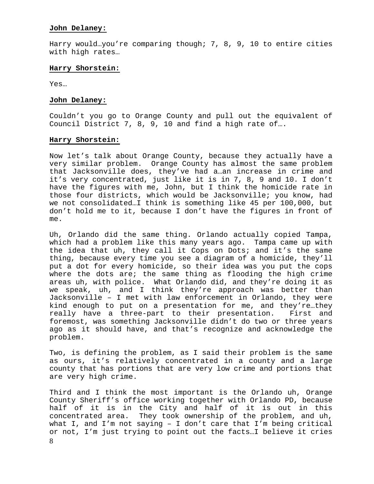# **John Delaney:**

Harry would…you're comparing though; 7, 8, 9, 10 to entire cities with high rates…

# **Harry Shorstein:**

Yes…

# **John Delaney:**

Couldn't you go to Orange County and pull out the equivalent of Council District 7, 8, 9, 10 and find a high rate of….

# **Harry Shorstein:**

Now let's talk about Orange County, because they actually have a very similar problem. Orange County has almost the same problem that Jacksonville does, they've had a…an increase in crime and it's very concentrated, just like it is in 7, 8, 9 and 10. I don't have the figures with me, John, but I think the homicide rate in those four districts, which would be Jacksonville; you know, had we not consolidated…I think is something like 45 per 100,000, but don't hold me to it, because I don't have the figures in front of me.

Uh, Orlando did the same thing. Orlando actually copied Tampa, which had a problem like this many years ago. Tampa came up with the idea that uh, they call it Cops on Dots; and it's the same thing, because every time you see a diagram of a homicide, they'll put a dot for every homicide, so their idea was you put the cops where the dots are; the same thing as flooding the high crime areas uh, with police. What Orlando did, and they're doing it as we speak, uh, and I think they're approach was better than Jacksonville – I met with law enforcement in Orlando, they were kind enough to put on a presentation for me, and they're…they really have a three-part to their presentation. First and foremost, was something Jacksonville didn't do two or three years ago as it should have, and that's recognize and acknowledge the problem.

Two, is defining the problem, as I said their problem is the same as ours, it's relatively concentrated in a county and a large county that has portions that are very low crime and portions that are very high crime.

8 Third and I think the most important is the Orlando uh, Orange County Sheriff's office working together with Orlando PD, because half of it is in the City and half of it is out in this concentrated area. They took ownership of the problem, and uh, what I, and I'm not saying – I don't care that I'm being critical or not, I'm just trying to point out the facts…I believe it cries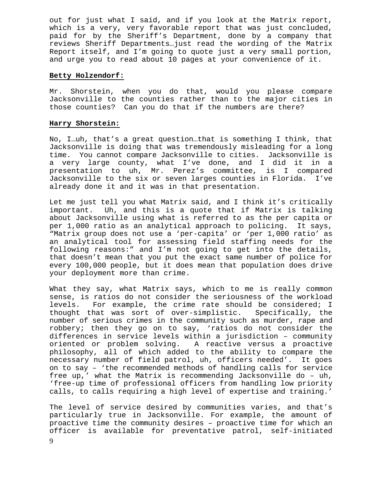out for just what I said, and if you look at the Matrix report, which is a very, very favorable report that was just concluded, paid for by the Sheriff's Department, done by a company that reviews Sheriff Departments…just read the wording of the Matrix Report itself, and I'm going to quote just a very small portion, and urge you to read about 10 pages at your convenience of it.

# **Betty Holzendorf:**

Mr. Shorstein, when you do that, would you please compare Jacksonville to the counties rather than to the major cities in those counties? Can you do that if the numbers are there?

# **Harry Shorstein:**

No, I…uh, that's a great question…that is something I think, that Jacksonville is doing that was tremendously misleading for a long time. You cannot compare Jacksonville to cities. Jacksonville is a very large county, what I've done, and I did it in a presentation to uh, Mr. Perez's committee, is I compared Jacksonville to the six or seven larges counties in Florida. I've already done it and it was in that presentation.

Let me just tell you what Matrix said, and I think it's critically important. Uh, and this is a quote that if Matrix is talking about Jacksonville using what is referred to as the per capita or per 1,000 ratio as an analytical approach to policing. It says, "Matrix group does not use a 'per-capita' or 'per 1,000 ratio' as an analytical tool for assessing field staffing needs for the following reasons:" and I'm not going to get into the details, that doesn't mean that you put the exact same number of police for every 100,000 people, but it does mean that population does drive your deployment more than crime.

What they say, what Matrix says, which to me is really common sense, is ratios do not consider the seriousness of the workload levels. For example, the crime rate should be considered; I thought that was sort of over-simplistic. Specifically, the number of serious crimes in the community such as murder, rape and robbery; then they go on to say, 'ratios do not consider the differences in service levels within a jurisdiction – community oriented or problem solving. A reactive versus a proactive philosophy, all of which added to the ability to compare the necessary number of field patrol, uh, officers needed'. It goes on to say – 'the recommended methods of handling calls for service free up,' what the Matrix is recommending Jacksonville do – uh, 'free-up time of professional officers from handling low priority calls, to calls requiring a high level of expertise and training.'

The level of service desired by communities varies, and that's particularly true in Jacksonville. For example, the amount of proactive time the community desires – proactive time for which an officer is available for preventative patrol, self-initiated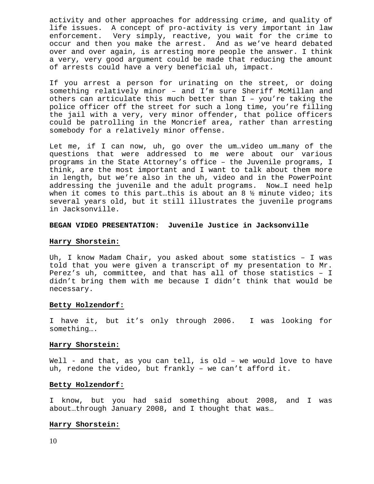activity and other approaches for addressing crime, and quality of life issues. A concept of pro-activity is very important in law enforcement. Very simply, reactive, you wait for the crime to occur and then you make the arrest. And as we've heard debated over and over again, is arresting more people the answer. I think a very, very good argument could be made that reducing the amount of arrests could have a very beneficial uh, impact.

If you arrest a person for urinating on the street, or doing something relatively minor – and I'm sure Sheriff McMillan and others can articulate this much better than I – you're taking the police officer off the street for such a long time, you're filling the jail with a very, very minor offender, that police officers could be patrolling in the Moncrief area, rather than arresting somebody for a relatively minor offense.

Let me, if I can now, uh, go over the um…video um…many of the questions that were addressed to me were about our various programs in the State Attorney's office – the Juvenile programs, I think, are the most important and I want to talk about them more in length, but we're also in the uh, video and in the PowerPoint addressing the juvenile and the adult programs. Now…I need help when it comes to this part...this is about an 8  $\frac{1}{2}$  minute video; its several years old, but it still illustrates the juvenile programs in Jacksonville.

## **BEGAN VIDEO PRESENTATION: Juvenile Justice in Jacksonville**

#### **Harry Shorstein:**

Uh, I know Madam Chair, you asked about some statistics – I was told that you were given a transcript of my presentation to Mr. Perez's uh, committee, and that has all of those statistics – I didn't bring them with me because I didn't think that would be necessary.

#### **Betty Holzendorf:**

I have it, but it's only through 2006. I was looking for something….

#### **Harry Shorstein:**

Well - and that, as you can tell, is old - we would love to have uh, redone the video, but frankly – we can't afford it.

# **Betty Holzendorf:**

I know, but you had said something about 2008, and I was about…through January 2008, and I thought that was…

#### **Harry Shorstein:**

10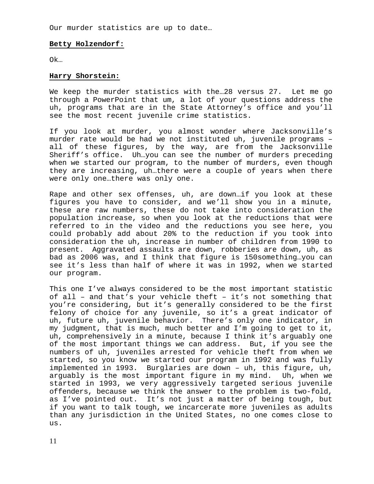Our murder statistics are up to date…

#### **Betty Holzendorf:**

Ok…

#### **Harry Shorstein:**

We keep the murder statistics with the…28 versus 27. Let me go through a PowerPoint that um, a lot of your questions address the uh, programs that are in the State Attorney's office and you'll see the most recent juvenile crime statistics.

If you look at murder, you almost wonder where Jacksonville's murder rate would be had we not instituted uh, juvenile programs – all of these figures, by the way, are from the Jacksonville Sheriff's office. Uh…you can see the number of murders preceding when we started our program, to the number of murders, even though they are increasing, uh…there were a couple of years when there were only one…there was only one.

Rape and other sex offenses, uh, are down…if you look at these figures you have to consider, and we'll show you in a minute, these are raw numbers, these do not take into consideration the population increase, so when you look at the reductions that were referred to in the video and the reductions you see here, you could probably add about 20% to the reduction if you took into consideration the uh, increase in number of children from 1990 to present. Aggravated assaults are down, robberies are down, uh, as bad as 2006 was, and I think that figure is 150something…you can see it's less than half of where it was in 1992, when we started our program.

This one I've always considered to be the most important statistic of all – and that's your vehicle theft – it's not something that you're considering, but it's generally considered to be the first felony of choice for any juvenile, so it's a great indicator of uh, future uh, juvenile behavior. There's only one indicator, in my judgment, that is much, much better and I'm going to get to it, uh, comprehensively in a minute, because I think it's arguably one of the most important things we can address. But, if you see the numbers of uh, juveniles arrested for vehicle theft from when we started, so you know we started our program in 1992 and was fully implemented in 1993. Burglaries are down – uh, this figure, uh, arguably is the most important figure in my mind. Uh, when we started in 1993, we very aggressively targeted serious juvenile offenders, because we think the answer to the problem is two-fold, as I've pointed out. It's not just a matter of being tough, but if you want to talk tough, we incarcerate more juveniles as adults than any jurisdiction in the United States, no one comes close to us.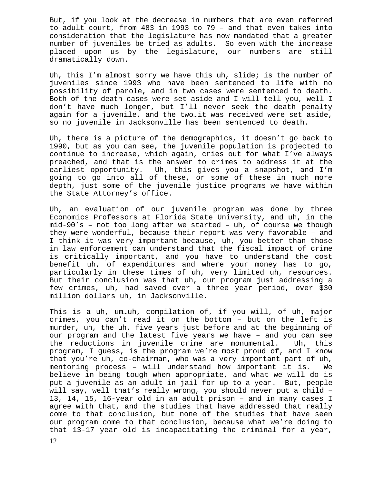But, if you look at the decrease in numbers that are even referred to adult court, from 483 in 1993 to 79 – and that even takes into consideration that the legislature has now mandated that a greater number of juveniles be tried as adults. So even with the increase placed upon us by the legislature, our numbers are still dramatically down.

Uh, this I'm almost sorry we have this uh, slide; is the number of juveniles since 1993 who have been sentenced to life with no possibility of parole, and in two cases were sentenced to death. Both of the death cases were set aside and I will tell you, well I don't have much longer, but I'll never seek the death penalty again for a juvenile, and the two…it was received were set aside, so no juvenile in Jacksonville has been sentenced to death.

Uh, there is a picture of the demographics, it doesn't go back to 1990, but as you can see, the juvenile population is projected to continue to increase, which again, cries out for what I've always preached, and that is the answer to crimes to address it at the earliest opportunity. Uh, this gives you a snapshot, and I'm going to go into all of these, or some of these in much more depth, just some of the juvenile justice programs we have within the State Attorney's office.

Uh, an evaluation of our juvenile program was done by three Economics Professors at Florida State University, and uh, in the mid-90's – not too long after we started – uh, of course we though they were wonderful, because their report was very favorable – and I think it was very important because, uh, you better than those in law enforcement can understand that the fiscal impact of crime is critically important, and you have to understand the cost benefit uh, of expenditures and where your money has to go, particularly in these times of uh, very limited uh, resources. But their conclusion was that uh, our program just addressing a few crimes, uh, had saved over a three year period, over \$30 million dollars uh, in Jacksonville.

This is a uh, um…uh, compilation of, if you will, of uh, major crimes, you can't read it on the bottom – but on the left is murder, uh, the uh, five years just before and at the beginning of our program and the latest five years we have – and you can see the reductions in juvenile crime are monumental. Uh, this program, I guess, is the program we're most proud of, and I know that you're uh, co-chairman, who was a very important part of uh, mentoring process – will understand how important it is. We believe in being tough when appropriate, and what we will do is put a juvenile as an adult in jail for up to a year. But, people will say, well that's really wrong, you should never put a child – 13, 14, 15, 16-year old in an adult prison – and in many cases I agree with that, and the studies that have addressed that really come to that conclusion, but none of the studies that have seen our program come to that conclusion, because what we're doing to that 13-17 year old is incapacitating the criminal for a year,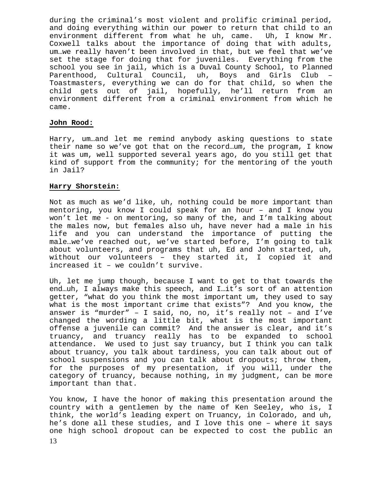during the criminal's most violent and prolific criminal period, and doing everything within our power to return that child to an environment different from what he uh, came. Uh, I know Mr. Coxwell talks about the importance of doing that with adults, um…we really haven't been involved in that, but we feel that we've set the stage for doing that for juveniles. Everything from the school you see in jail, which is a Duval County School, to Planned Parenthood, Cultural Council, uh, Boys and Girls Club – Toastmasters, everything we can do for that child, so when the child gets out of jail, hopefully, he'll return from an environment different from a criminal environment from which he came.

# **John Rood:**

Harry, um…and let me remind anybody asking questions to state their name so we've got that on the record…um, the program, I know it was um, well supported several years ago, do you still get that kind of support from the community; for the mentoring of the youth in Jail?

#### **Harry Shorstein:**

Not as much as we'd like, uh, nothing could be more important than mentoring, you know I could speak for an hour – and I know you won't let me - on mentoring, so many of the, and I'm talking about the males now, but females also uh, have never had a male in his life and you can understand the importance of putting the male…we've reached out, we've started before, I'm going to talk about volunteers, and programs that uh, Ed and John started, uh, without our volunteers – they started it, I copied it and increased it – we couldn't survive.

Uh, let me jump though, because I want to get to that towards the end…uh, I always make this speech, and I…it's sort of an attention getter, "what do you think the most important um, they used to say what is the most important crime that exists"? And you know, the answer is "murder" – I said, no, no, it's really not – and I've changed the wording a little bit, what is the most important offense a juvenile can commit? And the answer is clear, and it's truancy, and truancy really has to be expanded to school attendance. We used to just say truancy, but I think you can talk about truancy, you talk about tardiness, you can talk about out of school suspensions and you can talk about dropouts; throw them, for the purposes of my presentation, if you will, under the category of truancy, because nothing, in my judgment, can be more important than that.

You know, I have the honor of making this presentation around the country with a gentlemen by the name of Ken Seeley, who is, I think, the world's leading expert on Truancy, in Colorado, and uh, he's done all these studies, and I love this one – where it says one high school dropout can be expected to cost the public an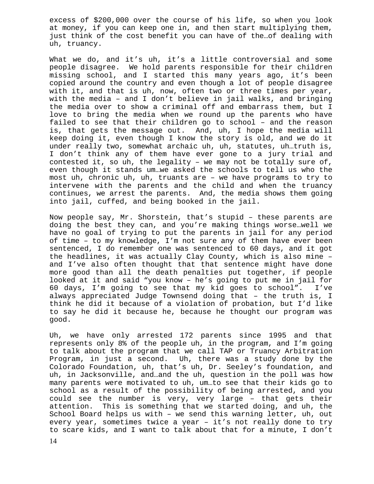excess of \$200,000 over the course of his life, so when you look at money, if you can keep one in, and then start multiplying them, just think of the cost benefit you can have of the…of dealing with uh, truancy.

What we do, and it's uh, it's a little controversial and some people disagree. We hold parents responsible for their children missing school, and I started this many years ago, it's been copied around the country and even though a lot of people disagree with it, and that is uh, now, often two or three times per year, with the media – and I don't believe in jail walks, and bringing the media over to show a criminal off and embarrass them, but I love to bring the media when we round up the parents who have failed to see that their children go to school – and the reason is, that gets the message out. And, uh, I hope the media will keep doing it, even though I know the story is old, and we do it under really two, somewhat archaic uh, uh, statutes, uh…truth is, I don't think any of them have ever gone to a jury trial and contested it, so uh, the legality – we may not be totally sure of, even though it stands um…we asked the schools to tell us who the most uh, chronic uh, uh, truants are – we have programs to try to intervene with the parents and the child and when the truancy continues, we arrest the parents. And, the media shows them going into jail, cuffed, and being booked in the jail.

Now people say, Mr. Shorstein, that's stupid – these parents are doing the best they can, and you're making things worse…well we have no goal of trying to put the parents in jail for any period of time – to my knowledge, I'm not sure any of them have ever been sentenced, I do remember one was sentenced to 60 days, and it got the headlines, it was actually Clay County, which is also mine – and I've also often thought that that sentence might have done more good than all the death penalties put together, if people looked at it and said "you know – he's going to put me in jail for 60 days, I'm going to see that my kid goes to school". I've always appreciated Judge Townsend doing that – the truth is, I think he did it because of a violation of probation, but I'd like to say he did it because he, because he thought our program was good.

Uh, we have only arrested 172 parents since 1995 and that represents only 8% of the people uh, in the program, and I'm going to talk about the program that we call TAP or Truancy Arbitration Program, in just a second. Uh, there was a study done by the Colorado Foundation, uh, that's uh, Dr. Seeley's foundation, and uh, in Jacksonville, and…and the uh, question in the poll was how many parents were motivated to uh, um…to see that their kids go to school as a result of the possibility of being arrested, and you could see the number is very, very large – that gets their attention. This is something that we started doing, and uh, the School Board helps us with – we send this warning letter, uh, out every year, sometimes twice a year – it's not really done to try to scare kids, and I want to talk about that for a minute, I don't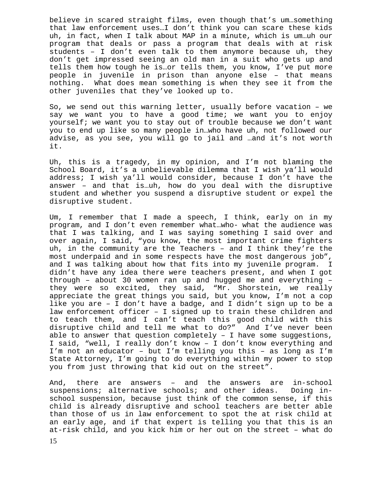believe in scared straight films, even though that's um…something that law enforcement uses…I don't think you can scare these kids uh, in fact, when I talk about MAP in a minute, which is um…uh our program that deals or pass a program that deals with at risk students – I don't even talk to them anymore because uh, they don't get impressed seeing an old man in a suit who gets up and tells them how tough he is…or tells them, you know, I've put more people in juvenile in prison than anyone else – that means nothing. What does mean something is when they see it from the other juveniles that they've looked up to.

So, we send out this warning letter, usually before vacation – we say we want you to have a good time; we want you to enjoy yourself; we want you to stay out of trouble because we don't want you to end up like so many people in…who have uh, not followed our advise, as you see, you will go to jail and …and it's not worth it.

Uh, this is a tragedy, in my opinion, and I'm not blaming the School Board, it's a unbelievable dilemma that I wish ya'll would address; I wish ya'll would consider, because I don't have the answer – and that is…uh, how do you deal with the disruptive student and whether you suspend a disruptive student or expel the disruptive student.

Um, I remember that I made a speech, I think, early on in my program, and I don't even remember what…who- what the audience was that I was talking, and I was saying something I said over and over again, I said, "you know, the most important crime fighters uh, in the community are the Teachers – and I think they're the most underpaid and in some respects have the most dangerous job", and I was talking about how that fits into my juvenile program. I didn't have any idea there were teachers present, and when I got through – about 30 women ran up and hugged me and everything – they were so excited, they said, "Mr. Shorstein, we really appreciate the great things you said, but you know, I'm not a cop like you are – I don't have a badge, and I didn't sign up to be a law enforcement officer – I signed up to train these children and to teach them, and I can't teach this good child with this disruptive child and tell me what to do?" And I've never been able to answer that question completely – I have some suggestions, I said, "well, I really don't know – I don't know everything and I'm not an educator – but I'm telling you this – as long as I'm State Attorney, I'm going to do everything within my power to stop you from just throwing that kid out on the street".

And, there are answers – and the answers are in-school suspensions; alternative schools; and other ideas. Doing inschool suspension, because just think of the common sense, if this child is already disruptive and school teachers are better able than those of us in law enforcement to spot the at risk child at an early age, and if that expert is telling you that this is an at-risk child, and you kick him or her out on the street – what do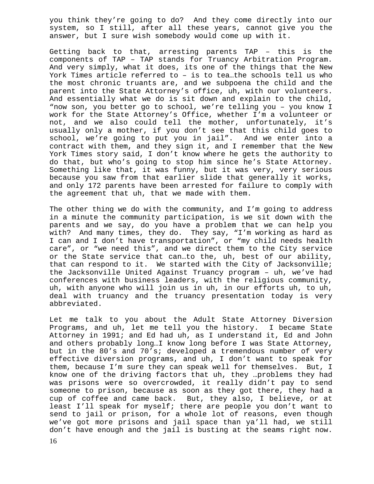you think they're going to do? And they come directly into our system, so I still, after all these years, cannot give you the answer, but I sure wish somebody would come up with it.

Getting back to that, arresting parents TAP – this is the components of TAP – TAP stands for Truancy Arbitration Program. And very simply, what it does, its one of the things that the New York Times article referred to – is to tea…the schools tell us who the most chronic truants are, and we subpoena the child and the parent into the State Attorney's office, uh, with our volunteers. And essentially what we do is sit down and explain to the child, "now son, you better go to school, we're telling you – you know I work for the State Attorney's Office, whether I'm a volunteer or not, and we also could tell the mother, unfortunately, it's usually only a mother, if you don't see that this child goes to school, we're going to put you in jail". And we enter into a contract with them, and they sign it, and I remember that the New York Times story said, I don't know where he gets the authority to do that, but who's going to stop him since he's State Attorney. Something like that, it was funny, but it was very, very serious because you saw from that earlier slide that generally it works, and only 172 parents have been arrested for failure to comply with the agreement that uh, that we made with them.

The other thing we do with the community, and I'm going to address in a minute the community participation, is we sit down with the parents and we say, do you have a problem that we can help you with? And many times, they do. They say, "I'm working as hard as I can and I don't have transportation", or "my child needs health care", or "we need this", and we direct them to the City service or the State service that can…to the, uh, best of our ability, that can respond to it. We started with the City of Jacksonville; the Jacksonville United Against Truancy program – uh, we've had conferences with business leaders, with the religious community, uh, with anyone who will join us in uh, in our efforts uh, to uh, deal with truancy and the truancy presentation today is very abbreviated.

Let me talk to you about the Adult State Attorney Diversion Programs, and uh, let me tell you the history. I became State Attorney in 1991; and Ed had uh, as I understand it, Ed and John and others probably long…I know long before I was State Attorney, but in the 80's and 70's; developed a tremendous number of very effective diversion programs, and uh, I don't want to speak for them, because I'm sure they can speak well for themselves. But, I know one of the driving factors that uh, they …problems they had was prisons were so overcrowded, it really didn't pay to send someone to prison, because as soon as they got there, they had a cup of coffee and came back. But, they also, I believe, or at least I'll speak for myself; there are people you don't want to send to jail or prison, for a whole lot of reasons, even though we've got more prisons and jail space than ya'll had, we still don't have enough and the jail is busting at the seams right now.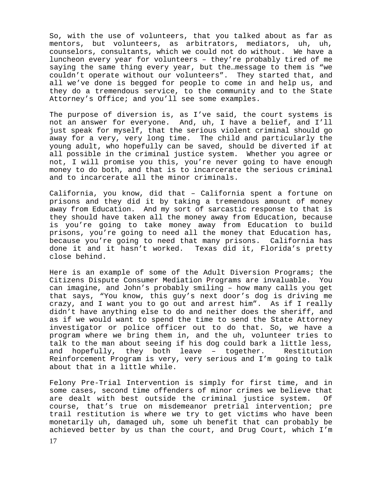So, with the use of volunteers, that you talked about as far as mentors, but volunteers, as arbitrators, mediators, uh, uh, counselors, consultants, which we could not do without. We have a luncheon every year for volunteers – they're probably tired of me saying the same thing every year, but the…message to them is "we couldn't operate without our volunteers". They started that, and all we've done is begged for people to come in and help us, and they do a tremendous service, to the community and to the State Attorney's Office; and you'll see some examples.

The purpose of diversion is, as I've said, the court systems is not an answer for everyone. And, uh, I have a belief, and I'll just speak for myself, that the serious violent criminal should go away for a very, very long time. The child and particularly the young adult, who hopefully can be saved, should be diverted if at all possible in the criminal justice system. Whether you agree or not, I will promise you this, you're never going to have enough money to do both, and that is to incarcerate the serious criminal and to incarcerate all the minor criminals.

California, you know, did that – California spent a fortune on prisons and they did it by taking a tremendous amount of money away from Education. And my sort of sarcastic response to that is they should have taken all the money away from Education, because is you're going to take money away from Education to build prisons, you're going to need all the money that Education has, because you're going to need that many prisons. California has done it and it hasn't worked. Texas did it, Florida's pretty close behind.

Here is an example of some of the Adult Diversion Programs; the Citizens Dispute Consumer Mediation Programs are invaluable. You can imagine, and John's probably smiling – how many calls you get that says, "You know, this guy's next door's dog is driving me crazy, and I want you to go out and arrest him". As if I really didn't have anything else to do and neither does the sheriff, and as if we would want to spend the time to send the State Attorney investigator or police officer out to do that. So, we have a program where we bring them in, and the uh, volunteer tries to talk to the man about seeing if his dog could bark a little less, and hopefully, they both leave – together. Restitution Reinforcement Program is very, very serious and I'm going to talk about that in a little while.

Felony Pre-Trial Intervention is simply for first time, and in some cases, second time offenders of minor crimes we believe that are dealt with best outside the criminal justice system. Of course, that's true on misdemeanor pretrial intervention; pre trail restitution is where we try to get victims who have been monetarily uh, damaged uh, some uh benefit that can probably be achieved better by us than the court, and Drug Court, which I'm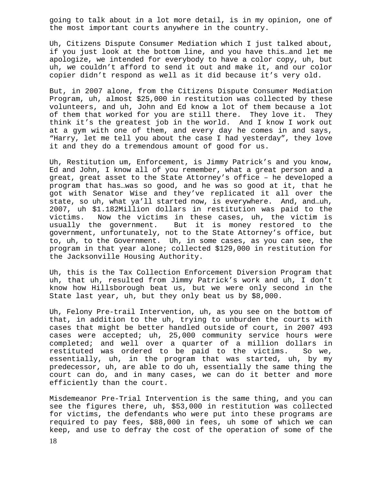going to talk about in a lot more detail, is in my opinion, one of the most important courts anywhere in the country.

Uh, Citizens Dispute Consumer Mediation which I just talked about, if you just look at the bottom line, and you have this…and let me apologize, we intended for everybody to have a color copy, uh, but uh, we couldn't afford to send it out and make it, and our color copier didn't respond as well as it did because it's very old.

But, in 2007 alone, from the Citizens Dispute Consumer Mediation Program, uh, almost \$25,000 in restitution was collected by these volunteers, and uh, John and Ed know a lot of them because a lot of them that worked for you are still there. They love it. They think it's the greatest job in the world. And I know I work out at a gym with one of them, and every day he comes in and says, "Harry, let me tell you about the case I had yesterday", they love it and they do a tremendous amount of good for us.

Uh, Restitution um, Enforcement, is Jimmy Patrick's and you know, Ed and John, I know all of you remember, what a great person and a great, great asset to the State Attorney's office – he developed a program that has…was so good, and he was so good at it, that he got with Senator Wise and they've replicated it all over the state, so uh, what ya'll started now, is everywhere. And, and…uh, 2007, uh \$1.182Million dollars in restitution was paid to the victims. Now the victims in these cases, uh, the victim is usually the government. But it is money restored to the government, unfortunately, not to the State Attorney's office, but to, uh, to the Government. Uh, in some cases, as you can see, the program in that year alone; collected \$129,000 in restitution for the Jacksonville Housing Authority.

Uh, this is the Tax Collection Enforcement Diversion Program that uh, that uh, resulted from Jimmy Patrick's work and uh, I don't know how Hillsborough beat us, but we were only second in the State last year, uh, but they only beat us by \$8,000.

Uh, Felony Pre-trail Intervention, uh, as you see on the bottom of that, in addition to the uh, trying to unburden the courts with cases that might be better handled outside of court, in 2007 493 cases were accepted; uh, 25,000 community service hours were completed; and well over a quarter of a million dollars in restituted was ordered to be paid to the victims. So we, essentially, uh, in the program that was started, uh, by my predecessor, uh, are able to do uh, essentially the same thing the court can do, and in many cases, we can do it better and more efficiently than the court.

Misdemeanor Pre-Trial Intervention is the same thing, and you can see the figures there, uh, \$53,000 in restitution was collected for victims, the defendants who were put into these programs are required to pay fees, \$88,000 in fees, uh some of which we can keep, and use to defray the cost of the operation of some of the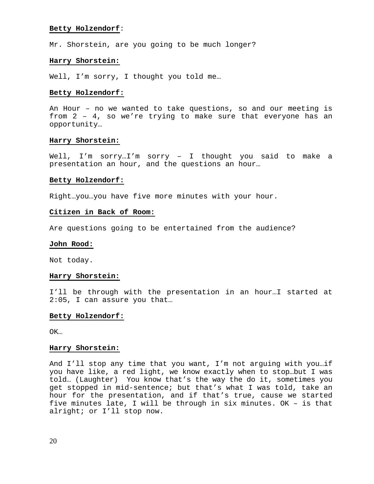#### **Betty Holzendorf**:

Mr. Shorstein, are you going to be much longer?

# **Harry Shorstein:**

Well, I'm sorry, I thought you told me...

#### **Betty Holzendorf:**

An Hour – no we wanted to take questions, so and our meeting is from 2 – 4, so we're trying to make sure that everyone has an opportunity…

#### **Harry Shorstein:**

Well, I'm sorry…I'm sorry – I thought you said to make a presentation an hour, and the questions an hour…

#### **Betty Holzendorf:**

Right…you…you have five more minutes with your hour.

#### **Citizen in Back of Room:**

Are questions going to be entertained from the audience?

#### **John Rood:**

Not today.

#### **Harry Shorstein:**

I'll be through with the presentation in an hour…I started at 2:05, I can assure you that…

#### **Betty Holzendorf:**

OK…

#### **Harry Shorstein:**

And I'll stop any time that you want, I'm not arguing with you…if you have like, a red light, we know exactly when to stop…but I was told… (Laughter) You know that's the way the do it, sometimes you get stopped in mid-sentence; but that's what I was told, take an hour for the presentation, and if that's true, cause we started five minutes late, I will be through in six minutes. OK – is that alright; or I'll stop now.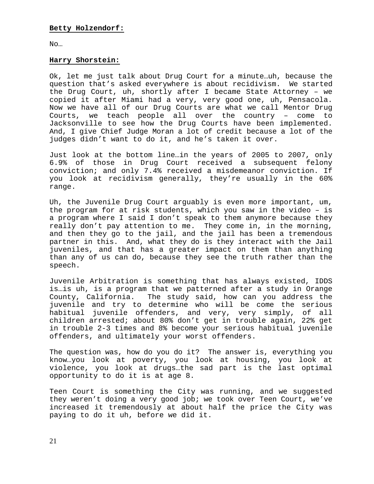No…

# **Harry Shorstein:**

Ok, let me just talk about Drug Court for a minute…uh, because the question that's asked everywhere is about recidivism. We started the Drug Court, uh, shortly after I became State Attorney – we copied it after Miami had a very, very good one, uh, Pensacola. Now we have all of our Drug Courts are what we call Mentor Drug Courts, we teach people all over the country – come to Jacksonville to see how the Drug Courts have been implemented. And, I give Chief Judge Moran a lot of credit because a lot of the judges didn't want to do it, and he's taken it over.

Just look at the bottom line…in the years of 2005 to 2007, only 6.9% of those in Drug Court received a subsequent felony conviction; and only 7.4% received a misdemeanor conviction. If you look at recidivism generally, they're usually in the 60% range.

Uh, the Juvenile Drug Court arguably is even more important, um, the program for at risk students, which you saw in the video – is a program where I said I don't speak to them anymore because they really don't pay attention to me. They come in, in the morning, and then they go to the jail, and the jail has been a tremendous partner in this. And, what they do is they interact with the Jail juveniles, and that has a greater impact on them than anything than any of us can do, because they see the truth rather than the speech.

Juvenile Arbitration is something that has always existed, IDDS is…is uh, is a program that we patterned after a study in Orange County, California. The study said, how can you address the juvenile and try to determine who will be come the serious habitual juvenile offenders, and very, very simply, of all children arrested; about 80% don't get in trouble again, 22% get in trouble 2-3 times and 8% become your serious habitual juvenile offenders, and ultimately your worst offenders.

The question was, how do you do it? The answer is, everything you know…you look at poverty, you look at housing, you look at violence, you look at drugs…the sad part is the last optimal opportunity to do it is at age 8.

Teen Court is something the City was running, and we suggested they weren't doing a very good job; we took over Teen Court, we've increased it tremendously at about half the price the City was paying to do it uh, before we did it.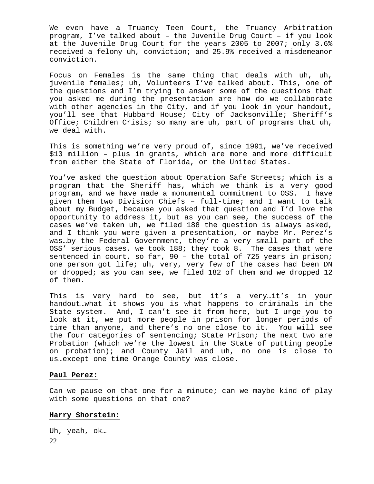We even have a Truancy Teen Court, the Truancy Arbitration program, I've talked about – the Juvenile Drug Court – if you look at the Juvenile Drug Court for the years 2005 to 2007; only 3.6% received a felony uh, conviction; and 25.9% received a misdemeanor conviction.

Focus on Females is the same thing that deals with uh, uh, juvenile females; uh, Volunteers I've talked about. This, one of the questions and I'm trying to answer some of the questions that you asked me during the presentation are how do we collaborate with other agencies in the City, and if you look in your handout, you'll see that Hubbard House; City of Jacksonville; Sheriff's Office; Children Crisis; so many are uh, part of programs that uh, we deal with.

This is something we're very proud of, since 1991, we've received \$13 million – plus in grants, which are more and more difficult from either the State of Florida, or the United States.

You've asked the question about Operation Safe Streets; which is a program that the Sheriff has, which we think is a very good program, and we have made a monumental commitment to OSS. I have given them two Division Chiefs – full-time; and I want to talk about my Budget, because you asked that question and I'd love the opportunity to address it, but as you can see, the success of the cases we've taken uh, we filed 188 the question is always asked, and I think you were given a presentation, or maybe Mr. Perez's was…by the Federal Government, they're a very small part of the OSS' serious cases, we took 188; they took 8. The cases that were sentenced in court, so far, 90 – the total of 725 years in prison; one person got life; uh, very, very few of the cases had been DN or dropped; as you can see, we filed 182 of them and we dropped 12 of them.

This is very hard to see, but it's a very..it's in your handout…what it shows you is what happens to criminals in the State system. And, I can't see it from here, but I urge you to look at it, we put more people in prison for longer periods of time than anyone, and there's no one close to it. You will see the four categories of sentencing; State Prison; the next two are Probation (which we're the lowest in the State of putting people on probation); and County Jail and uh, no one is close to us…except one time Orange County was close.

#### **Paul Perez:**

Can we pause on that one for a minute; can we maybe kind of play with some questions on that one?

# **Harry Shorstein:**

22 Uh, yeah, ok…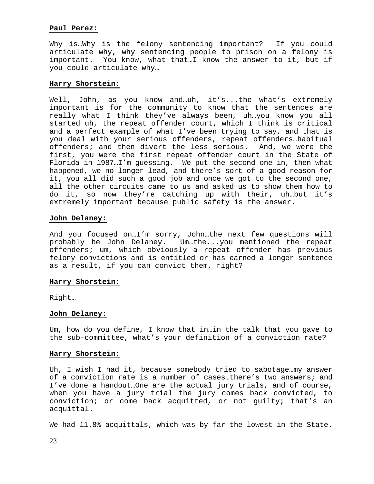# **Paul Perez:**

Why is…Why is the felony sentencing important? If you could articulate why, why sentencing people to prison on a felony is important. You know, what that…I know the answer to it, but if you could articulate why…

# **Harry Shorstein:**

Well, John, as you know and…uh, it's...the what's extremely important is for the community to know that the sentences are really what I think they've always been, uh…you know you all started uh, the repeat offender court, which I think is critical and a perfect example of what I've been trying to say, and that is you deal with your serious offenders, repeat offenders…habitual offenders; and then divert the less serious. And, we were the first, you were the first repeat offender court in the State of Florida in 1987…I'm guessing. We put the second one in, then what happened, we no longer lead, and there's sort of a good reason for it, you all did such a good job and once we got to the second one, all the other circuits came to us and asked us to show them how to do it, so now they're catching up with their, uh…but it's extremely important because public safety is the answer.

# **John Delaney:**

And you focused on…I'm sorry, John…the next few questions will probably be John Delaney. Um…the...you mentioned the repeat offenders; um, which obviously a repeat offender has previous felony convictions and is entitled or has earned a longer sentence as a result, if you can convict them, right?

# **Harry Shorstein:**

Right…

# **John Delaney:**

Um, how do you define, I know that in…in the talk that you gave to the sub-committee, what's your definition of a conviction rate?

# **Harry Shorstein:**

Uh, I wish I had it, because somebody tried to sabotage…my answer of a conviction rate is a number of cases…there's two answers; and I've done a handout…One are the actual jury trials, and of course, when you have a jury trial the jury comes back convicted, to conviction; or come back acquitted, or not guilty; that's an acquittal.

We had 11.8% acquittals, which was by far the lowest in the State.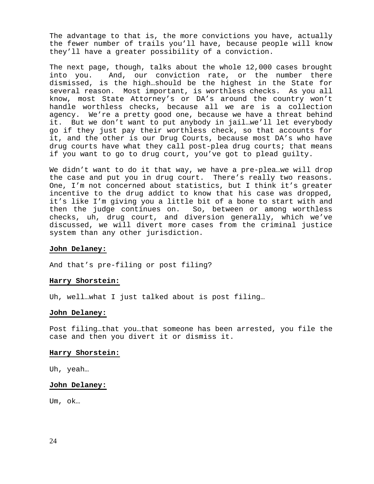The advantage to that is, the more convictions you have, actually the fewer number of trails you'll have, because people will know they'll have a greater possibility of a conviction.

The next page, though, talks about the whole 12,000 cases brought into you. And, our conviction rate, or the number there dismissed, is the high…should be the highest in the State for several reason. Most important, is worthless checks. As you all know, most State Attorney's or DA's around the country won't handle worthless checks, because all we are is a collection agency. We're a pretty good one, because we have a threat behind it. But we don't want to put anybody in jail…we'll let everybody go if they just pay their worthless check, so that accounts for it, and the other is our Drug Courts, because most DA's who have drug courts have what they call post-plea drug courts; that means if you want to go to drug court, you've got to plead guilty.

We didn't want to do it that way, we have a pre-plea…we will drop the case and put you in drug court. There's really two reasons. One, I'm not concerned about statistics, but I think it's greater incentive to the drug addict to know that his case was dropped, it's like I'm giving you a little bit of a bone to start with and then the judge continues on. So, between or among worthless checks, uh, drug court, and diversion generally, which we've discussed, we will divert more cases from the criminal justice system than any other jurisdiction.

# **John Delaney:**

And that's pre-filing or post filing?

#### **Harry Shorstein:**

Uh, well…what I just talked about is post filing…

#### **John Delaney:**

Post filing…that you…that someone has been arrested, you file the case and then you divert it or dismiss it.

#### **Harry Shorstein:**

Uh, yeah…

# **John Delaney:**

Um, ok…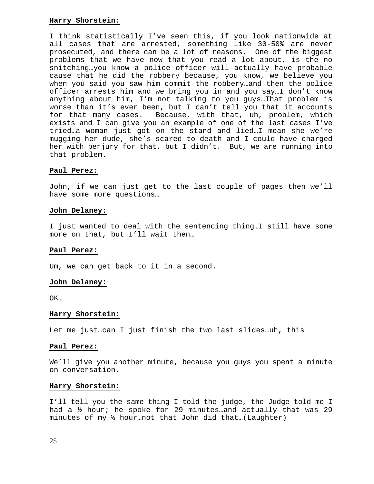# **Harry Shorstein:**

I think statistically I've seen this, if you look nationwide at all cases that are arrested, something like 30-50% are never prosecuted, and there can be a lot of reasons. One of the biggest problems that we have now that you read a lot about, is the no snitching…you know a police officer will actually have probable cause that he did the robbery because, you know, we believe you when you said you saw him commit the robbery…and then the police officer arrests him and we bring you in and you say…I don't know anything about him, I'm not talking to you guys…That problem is worse than it's ever been, but I can't tell you that it accounts for that many cases. Because, with that, uh, problem, which exists and I can give you an example of one of the last cases I've tried…a woman just got on the stand and lied…I mean she we're mugging her dude, she's scared to death and I could have charged her with perjury for that, but I didn't. But, we are running into that problem.

# **Paul Perez:**

John, if we can just get to the last couple of pages then we'll have some more questions…

# **John Delaney:**

I just wanted to deal with the sentencing thing…I still have some more on that, but I'll wait then…

# **Paul Perez:**

Um, we can get back to it in a second.

# **John Delaney:**

OK…

# **Harry Shorstein:**

Let me just…can I just finish the two last slides…uh, this

# **Paul Perez:**

We'll give you another minute, because you guys you spent a minute on conversation.

# **Harry Shorstein:**

I'll tell you the same thing I told the judge, the Judge told me I had a ½ hour; he spoke for 29 minutes…and actually that was 29 minutes of my ½ hour…not that John did that…(Laughter)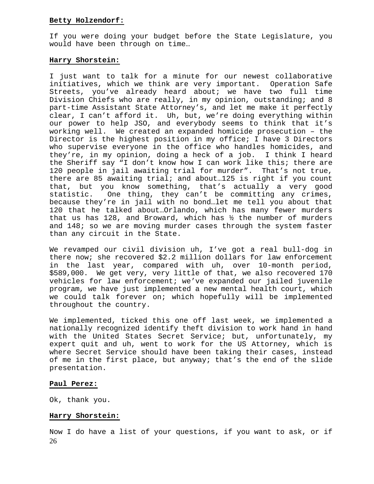# **Betty Holzendorf:**

If you were doing your budget before the State Legislature, you would have been through on time…

# **Harry Shorstein:**

I just want to talk for a minute for our newest collaborative initiatives, which we think are very important. Operation Safe Streets, you've already heard about; we have two full time Division Chiefs who are really, in my opinion, outstanding; and 8 part-time Assistant State Attorney's, and let me make it perfectly clear, I can't afford it. Uh, but, we're doing everything within our power to help JSO, and everybody seems to think that it's working well. We created an expanded homicide prosecution – the Director is the highest position in my office; I have 3 Directors who supervise everyone in the office who handles homicides, and they're, in my opinion, doing a heck of a job. I think I heard the Sheriff say "I don't know how I can work like this; there are 120 people in jail awaiting trial for murder". That's not true, there are 85 awaiting trial; and about…125 is right if you count that, but you know something, that's actually a very good statistic. One thing, they can't be committing any crimes, because they're in jail with no bond…let me tell you about that 120 that he talked about…Orlando, which has many fewer murders that us has 128, and Broward, which has  $\frac{1}{2}$  the number of murders and 148; so we are moving murder cases through the system faster than any circuit in the State.

We revamped our civil division uh, I've got a real bull-dog in there now; she recovered \$2.2 million dollars for law enforcement in the last year, compared with uh, over 10-month period, \$589,000. We get very, very little of that, we also recovered 170 vehicles for law enforcement; we've expanded our jailed juvenile program, we have just implemented a new mental health court, which we could talk forever on; which hopefully will be implemented throughout the country.

We implemented, ticked this one off last week, we implemented a nationally recognized identify theft division to work hand in hand with the United States Secret Service; but, unfortunately, my expert quit and uh, went to work for the US Attorney, which is where Secret Service should have been taking their cases, instead of me in the first place, but anyway; that's the end of the slide presentation.

# **Paul Perez:**

Ok, thank you.

# **Harry Shorstein:**

26 Now I do have a list of your questions, if you want to ask, or if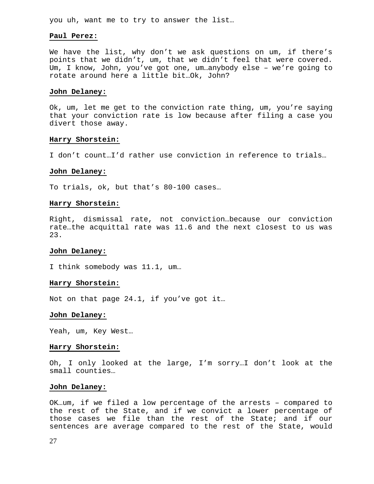you uh, want me to try to answer the list…

#### **Paul Perez:**

We have the list, why don't we ask questions on um, if there's points that we didn't, um, that we didn't feel that were covered. Um, I know, John, you've got one, um…anybody else – we're going to rotate around here a little bit…Ok, John?

#### **John Delaney:**

Ok, um, let me get to the conviction rate thing, um, you're saying that your conviction rate is low because after filing a case you divert those away.

# **Harry Shorstein:**

I don't count…I'd rather use conviction in reference to trials…

#### **John Delaney:**

To trials, ok, but that's 80-100 cases…

#### **Harry Shorstein:**

Right, dismissal rate, not conviction…because our conviction rate…the acquittal rate was 11.6 and the next closest to us was 23.

#### **John Delaney:**

I think somebody was 11.1, um…

#### **Harry Shorstein:**

Not on that page 24.1, if you've got it…

#### **John Delaney:**

Yeah, um, Key West…

#### **Harry Shorstein:**

Oh, I only looked at the large, I'm sorry…I don't look at the small counties…

#### **John Delaney:**

OK…um, if we filed a low percentage of the arrests – compared to the rest of the State, and if we convict a lower percentage of those cases we file than the rest of the State; and if our sentences are average compared to the rest of the State, would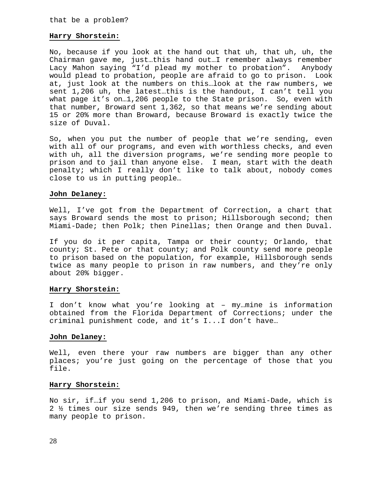# **Harry Shorstein:**

No, because if you look at the hand out that uh, that uh, uh, the Chairman gave me, just…this hand out…I remember always remember Lacy Mahon saying "I'd plead my mother to probation". Anybody would plead to probation, people are afraid to go to prison. Look at, just look at the numbers on this…look at the raw numbers, we sent 1,206 uh, the latest…this is the handout, I can't tell you what page it's on…1,206 people to the State prison. So, even with that number, Broward sent 1,362, so that means we're sending about 15 or 20% more than Broward, because Broward is exactly twice the size of Duval.

So, when you put the number of people that we're sending, even with all of our programs, and even with worthless checks, and even with uh, all the diversion programs, we're sending more people to prison and to jail than anyone else. I mean, start with the death penalty; which I really don't like to talk about, nobody comes close to us in putting people…

### **John Delaney:**

Well, I've got from the Department of Correction, a chart that says Broward sends the most to prison; Hillsborough second; then Miami-Dade; then Polk; then Pinellas; then Orange and then Duval.

If you do it per capita, Tampa or their county; Orlando, that county; St. Pete or that county; and Polk county send more people to prison based on the population, for example, Hillsborough sends twice as many people to prison in raw numbers, and they're only about 20% bigger.

# **Harry Shorstein:**

I don't know what you're looking at – my…mine is information obtained from the Florida Department of Corrections; under the criminal punishment code, and it's I...I don't have…

# **John Delaney:**

Well, even there your raw numbers are bigger than any other places; you're just going on the percentage of those that you file.

# **Harry Shorstein:**

No sir, if…if you send 1,206 to prison, and Miami-Dade, which is 2 ½ times our size sends 949, then we're sending three times as many people to prison.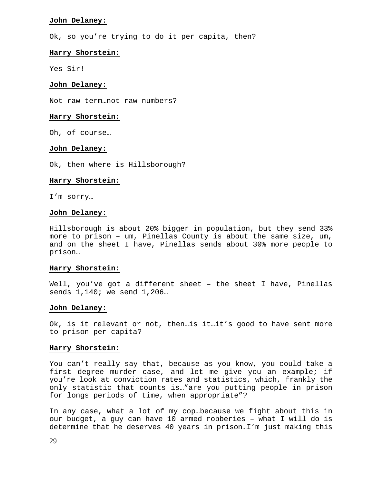# **John Delaney:**

Ok, so you're trying to do it per capita, then?

#### **Harry Shorstein:**

Yes Sir!

#### **John Delaney:**

Not raw term…not raw numbers?

#### **Harry Shorstein:**

Oh, of course…

#### **John Delaney:**

Ok, then where is Hillsborough?

# **Harry Shorstein:**

I'm sorry…

#### **John Delaney:**

Hillsborough is about 20% bigger in population, but they send 33% more to prison – um, Pinellas County is about the same size, um, and on the sheet I have, Pinellas sends about 30% more people to prison…

#### **Harry Shorstein:**

Well, you've got a different sheet - the sheet I have, Pinellas sends 1,140; we send 1,206…

#### **John Delaney:**

Ok, is it relevant or not, then…is it…it's good to have sent more to prison per capita?

#### **Harry Shorstein:**

You can't really say that, because as you know, you could take a first degree murder case, and let me give you an example; if you're look at conviction rates and statistics, which, frankly the only statistic that counts is…"are you putting people in prison for longs periods of time, when appropriate"?

In any case, what a lot of my cop…because we fight about this in our budget, a guy can have 10 armed robberies – what I will do is determine that he deserves 40 years in prison…I'm just making this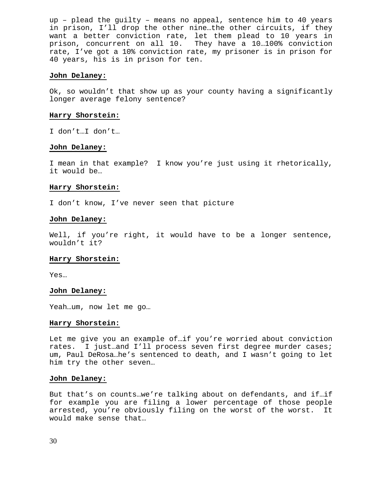up – plead the guilty – means no appeal, sentence him to 40 years in prison, I'll drop the other nine…the other circuits, if they want a better conviction rate, let them plead to 10 years in prison, concurrent on all 10. They have a 10…100% conviction rate, I've got a 10% conviction rate, my prisoner is in prison for 40 years, his is in prison for ten.

# **John Delaney:**

Ok, so wouldn't that show up as your county having a significantly longer average felony sentence?

#### **Harry Shorstein:**

I don't…I don't…

# **John Delaney:**

I mean in that example? I know you're just using it rhetorically, it would be…

#### **Harry Shorstein:**

I don't know, I've never seen that picture

#### **John Delaney:**

Well, if you're right, it would have to be a longer sentence, wouldn't it?

# **Harry Shorstein:**

Yes…

#### **John Delaney:**

Yeah…um, now let me go…

#### **Harry Shorstein:**

Let me give you an example of…if you're worried about conviction rates. I just…and I'll process seven first degree murder cases; um, Paul DeRosa…he's sentenced to death, and I wasn't going to let him try the other seven…

#### **John Delaney:**

But that's on counts…we're talking about on defendants, and if…if for example you are filing a lower percentage of those people arrested, you're obviously filing on the worst of the worst. It would make sense that…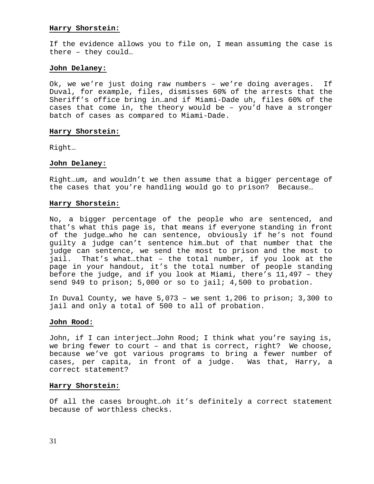# **Harry Shorstein:**

If the evidence allows you to file on, I mean assuming the case is there – they could…

# **John Delaney:**

Ok, we we're just doing raw numbers – we're doing averages. If Duval, for example, files, dismisses 60% of the arrests that the Sheriff's office bring in…and if Miami-Dade uh, files 60% of the cases that come in, the theory would be – you'd have a stronger batch of cases as compared to Miami-Dade.

# **Harry Shorstein:**

Right…

# **John Delaney:**

Right…um, and wouldn't we then assume that a bigger percentage of the cases that you're handling would go to prison? Because…

# **Harry Shorstein:**

No, a bigger percentage of the people who are sentenced, and that's what this page is, that means if everyone standing in front of the judge…who he can sentence, obviously if he's not found guilty a judge can't sentence him…but of that number that the judge can sentence, we send the most to prison and the most to jail. That's what…that – the total number, if you look at the page in your handout, it's the total number of people standing before the judge, and if you look at Miami, there's 11,497 – they send 949 to prison; 5,000 or so to jail; 4,500 to probation.

In Duval County, we have 5,073 – we sent 1,206 to prison; 3,300 to jail and only a total of 500 to all of probation.

# **John Rood:**

John, if I can interject…John Rood; I think what you're saying is, we bring fewer to court – and that is correct, right? We choose, because we've got various programs to bring a fewer number of cases, per capita, in front of a judge. Was that, Harry, a correct statement?

# **Harry Shorstein:**

Of all the cases brought…oh it's definitely a correct statement because of worthless checks.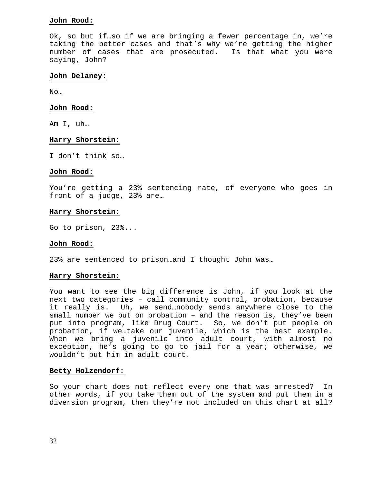# **John Rood:**

Ok, so but if…so if we are bringing a fewer percentage in, we're taking the better cases and that's why we're getting the higher number of cases that are prosecuted. Is that what you were saying, John?

# **John Delaney:**

No…

#### **John Rood:**

Am I, uh…

#### **Harry Shorstein:**

I don't think so…

#### **John Rood:**

You're getting a 23% sentencing rate, of everyone who goes in front of a judge, 23% are…

# **Harry Shorstein:**

Go to prison, 23%...

# **John Rood:**

23% are sentenced to prison…and I thought John was…

# **Harry Shorstein:**

You want to see the big difference is John, if you look at the next two categories – call community control, probation, because it really is. Uh, we send…nobody sends anywhere close to the small number we put on probation – and the reason is, they've been put into program, like Drug Court. So, we don't put people on probation, if we…take our juvenile, which is the best example. When we bring a juvenile into adult court, with almost no exception, he's going to go to jail for a year; otherwise, we wouldn't put him in adult court.

# **Betty Holzendorf:**

So your chart does not reflect every one that was arrested? In other words, if you take them out of the system and put them in a diversion program, then they're not included on this chart at all?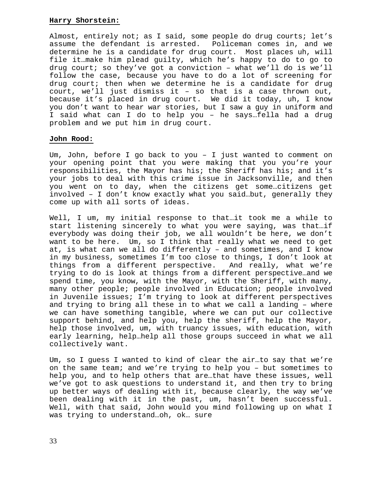# **Harry Shorstein:**

Almost, entirely not; as I said, some people do drug courts; let's assume the defendant is arrested. Policeman comes in, and we determine he is a candidate for drug court. Most places uh, will file it…make him plead guilty, which he's happy to do to go to drug court; so they've got a conviction – what we'll do is we'll follow the case, because you have to do a lot of screening for drug court; then when we determine he is a candidate for drug court, we'll just dismiss it – so that is a case thrown out, because it's placed in drug court. We did it today, uh, I know you don't want to hear war stories, but I saw a guy in uniform and I said what can I do to help you – he says…fella had a drug problem and we put him in drug court.

# **John Rood:**

Um, John, before I go back to you – I just wanted to comment on your opening point that you were making that you you're your responsibilities, the Mayor has his; the Sheriff has his; and it's your jobs to deal with this crime issue in Jacksonville, and then you went on to day, when the citizens get some…citizens get involved – I don't know exactly what you said…but, generally they come up with all sorts of ideas.

Well, I um, my initial response to that…it took me a while to start listening sincerely to what you were saying, was that…if everybody was doing their job, we all wouldn't be here, we don't want to be here. Um, so I think that really what we need to get at, is what can we all do differently – and sometimes, and I know in my business, sometimes I'm too close to things, I don't look at things from a different perspective. And really, what we're trying to do is look at things from a different perspective…and we spend time, you know, with the Mayor, with the Sheriff, with many, many other people; people involved in Education; people involved in Juvenile issues; I'm trying to look at different perspectives and trying to bring all these in to what we call a landing – where we can have something tangible, where we can put our collective support behind, and help you, help the sheriff, help the Mayor, help those involved, um, with truancy issues, with education, with early learning, help…help all those groups succeed in what we all collectively want.

Um, so I guess I wanted to kind of clear the air…to say that we're on the same team; and we're trying to help you – but sometimes to help you, and to help others that are…that have these issues, well we've got to ask questions to understand it, and then try to bring up better ways of dealing with it, because clearly, the way we've been dealing with it in the past, um, hasn't been successful. Well, with that said, John would you mind following up on what I was trying to understand…oh, ok… sure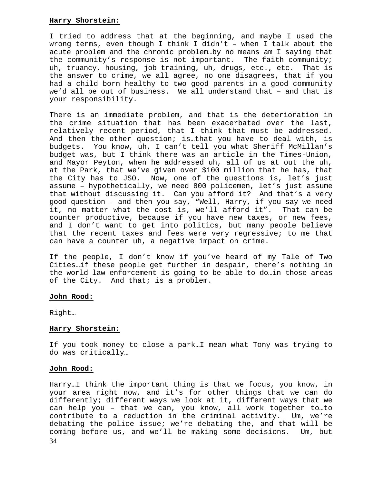# **Harry Shorstein:**

I tried to address that at the beginning, and maybe I used the wrong terms, even though I think I didn't – when I talk about the acute problem and the chronic problem…by no means am I saying that the community's response is not important. The faith community; uh, truancy, housing, job training, uh, drugs, etc., etc. That is the answer to crime, we all agree, no one disagrees, that if you had a child born healthy to two good parents in a good community we'd all be out of business. We all understand that – and that is your responsibility.

There is an immediate problem, and that is the deterioration in the crime situation that has been exacerbated over the last, relatively recent period, that I think that must be addressed. And then the other question; is…that you have to deal with, is budgets. You know, uh, I can't tell you what Sheriff McMillan's budget was, but I think there was an article in the Times-Union, and Mayor Peyton, when he addressed uh, all of us at out the uh, at the Park, that we've given over \$100 million that he has, that the City has to JSO. Now, one of the questions is, let's just assume – hypothetically, we need 800 policemen, let's just assume that without discussing it. Can you afford it? And that's a very good question – and then you say, "Well, Harry, if you say we need it, no matter what the cost is, we'll afford it". That can be counter productive, because if you have new taxes, or new fees, and I don't want to get into politics, but many people believe that the recent taxes and fees were very regressive; to me that can have a counter uh, a negative impact on crime.

If the people, I don't know if you've heard of my Tale of Two Cities…if these people get further in despair, there's nothing in the world law enforcement is going to be able to do…in those areas of the City. And that; is a problem.

# **John Rood:**

Right…

# **Harry Shorstein:**

If you took money to close a park…I mean what Tony was trying to do was critically…

# **John Rood:**

34 Harry…I think the important thing is that we focus, you know, in your area right now, and it's for other things that we can do differently; different ways we look at it, different ways that we can help you – that we can, you know, all work together to…to contribute to a reduction in the criminal activity. Um, we're debating the police issue; we're debating the, and that will be coming before us, and we'll be making some decisions. Um, but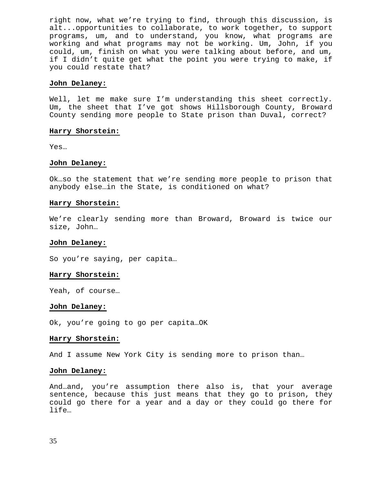right now, what we're trying to find, through this discussion, is alt...opportunities to collaborate, to work together, to support programs, um, and to understand, you know, what programs are working and what programs may not be working. Um, John, if you could, um, finish on what you were talking about before, and um, if I didn't quite get what the point you were trying to make, if you could restate that?

#### **John Delaney:**

Well, let me make sure I'm understanding this sheet correctly. Um, the sheet that I've got shows Hillsborough County, Broward County sending more people to State prison than Duval, correct?

#### **Harry Shorstein:**

Yes…

#### **John Delaney:**

Ok…so the statement that we're sending more people to prison that anybody else…in the State, is conditioned on what?

#### **Harry Shorstein:**

We're clearly sending more than Broward, Broward is twice our size, John…

#### **John Delaney:**

So you're saying, per capita…

#### **Harry Shorstein:**

Yeah, of course…

#### **John Delaney:**

Ok, you're going to go per capita…OK

### **Harry Shorstein:**

And I assume New York City is sending more to prison than…

#### **John Delaney:**

And…and, you're assumption there also is, that your average sentence, because this just means that they go to prison, they could go there for a year and a day or they could go there for life…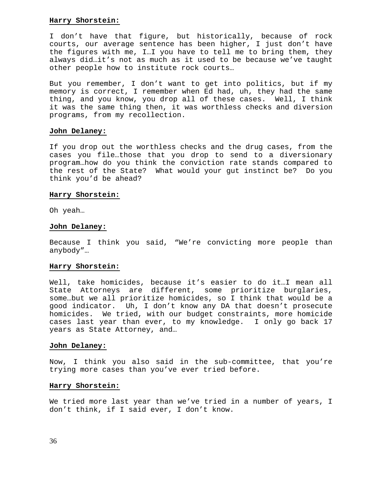# **Harry Shorstein:**

I don't have that figure, but historically, because of rock courts, our average sentence has been higher, I just don't have the figures with me, I…I you have to tell me to bring them, they always did…it's not as much as it used to be because we've taught other people how to institute rock courts…

But you remember, I don't want to get into politics, but if my memory is correct, I remember when Ed had, uh, they had the same thing, and you know, you drop all of these cases. Well, I think it was the same thing then, it was worthless checks and diversion programs, from my recollection.

# **John Delaney:**

If you drop out the worthless checks and the drug cases, from the cases you file…those that you drop to send to a diversionary program…how do you think the conviction rate stands compared to the rest of the State? What would your gut instinct be? Do you think you'd be ahead?

#### **Harry Shorstein:**

Oh yeah…

#### **John Delaney:**

Because I think you said, "We're convicting more people than anybody"…

#### **Harry Shorstein:**

Well, take homicides, because it's easier to do it…I mean all State Attorneys are different, some prioritize burglaries, some…but we all prioritize homicides, so I think that would be a good indicator. Uh, I don't know any DA that doesn't prosecute homicides. We tried, with our budget constraints, more homicide cases last year than ever, to my knowledge. I only go back 17 years as State Attorney, and…

#### **John Delaney:**

Now, I think you also said in the sub-committee, that you're trying more cases than you've ever tried before.

#### **Harry Shorstein:**

We tried more last year than we've tried in a number of years, I don't think, if I said ever, I don't know.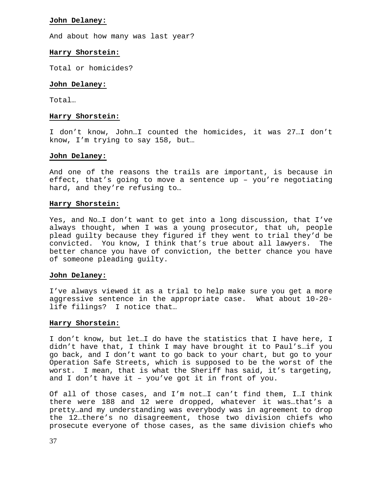# **John Delaney:**

And about how many was last year?

# **Harry Shorstein:**

Total or homicides?

# **John Delaney:**

Total…

# **Harry Shorstein:**

I don't know, John…I counted the homicides, it was 27…I don't know, I'm trying to say 158, but…

# **John Delaney:**

And one of the reasons the trails are important, is because in effect, that's going to move a sentence up – you're negotiating hard, and they're refusing to…

# **Harry Shorstein:**

Yes, and No…I don't want to get into a long discussion, that I've always thought, when I was a young prosecutor, that uh, people plead guilty because they figured if they went to trial they'd be convicted. You know, I think that's true about all lawyers. The better chance you have of conviction, the better chance you have of someone pleading guilty.

# **John Delaney:**

I've always viewed it as a trial to help make sure you get a more aggressive sentence in the appropriate case. What about 10-20 life filings? I notice that…

# **Harry Shorstein:**

I don't know, but let…I do have the statistics that I have here, I didn't have that, I think I may have brought it to Paul's…if you go back, and I don't want to go back to your chart, but go to your Operation Safe Streets, which is supposed to be the worst of the worst. I mean, that is what the Sheriff has said, it's targeting, and I don't have it – you've got it in front of you.

Of all of those cases, and I'm not…I can't find them, I…I think there were 188 and 12 were dropped, whatever it was…that's a pretty…and my understanding was everybody was in agreement to drop the 12…there's no disagreement, those two division chiefs who prosecute everyone of those cases, as the same division chiefs who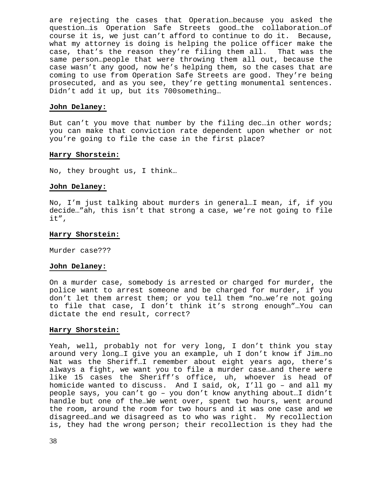are rejecting the cases that Operation…because you asked the question…is Operation Safe Streets good…the collaboration…of course it is, we just can't afford to continue to do it. Because, what my attorney is doing is helping the police officer make the case, that's the reason they're filing them all. That was the same person…people that were throwing them all out, because the case wasn't any good, now he's helping them, so the cases that are coming to use from Operation Safe Streets are good. They're being prosecuted, and as you see, they're getting monumental sentences. Didn't add it up, but its 700something…

# **John Delaney:**

But can't you move that number by the filing dec…in other words; you can make that conviction rate dependent upon whether or not you're going to file the case in the first place?

# **Harry Shorstein:**

No, they brought us, I think…

# **John Delaney:**

No, I'm just talking about murders in general…I mean, if, if you decide…"ah, this isn't that strong a case, we're not going to file it",

# **Harry Shorstein:**

Murder case???

# **John Delaney:**

On a murder case, somebody is arrested or charged for murder, the police want to arrest someone and be charged for murder, if you don't let them arrest them; or you tell them "no…we're not going to file that case, I don't think it's strong enough"…You can dictate the end result, correct?

# **Harry Shorstein:**

Yeah, well, probably not for very long, I don't think you stay around very long…I give you an example, uh I don't know if Jim…no Nat was the Sheriff…I remember about eight years ago, there's always a fight, we want you to file a murder case…and there were like 15 cases the Sheriff's office, uh, whoever is head of homicide wanted to discuss. And I said, ok, I'll go – and all my people says, you can't go – you don't know anything about…I didn't handle but one of the…We went over, spent two hours, went around the room, around the room for two hours and it was one case and we disagreed…and we disagreed as to who was right. My recollection is, they had the wrong person; their recollection is they had the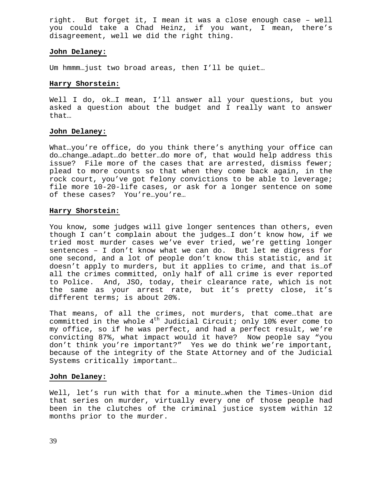right. But forget it, I mean it was a close enough case – well you could take a Chad Heinz, if you want, I mean, there's disagreement, well we did the right thing.

# **John Delaney:**

Um hmmm…just two broad areas, then I'll be quiet…

# **Harry Shorstein:**

Well I do, ok…I mean, I'll answer all your questions, but you asked a question about the budget and I really want to answer that…

# **John Delaney:**

What…you're office, do you think there's anything your office can do…change…adapt…do better…do more of, that would help address this issue? File more of the cases that are arrested, dismiss fewer; plead to more counts so that when they come back again, in the rock court, you've got felony convictions to be able to leverage; file more 10-20-life cases, or ask for a longer sentence on some of these cases? You're…you're…

# **Harry Shorstein:**

You know, some judges will give longer sentences than others, even though I can't complain about the judges…I don't know how, if we tried most murder cases we've ever tried, we're getting longer sentences – I don't know what we can do. But let me digress for one second, and a lot of people don't know this statistic, and it doesn't apply to murders, but it applies to crime, and that is…of all the crimes committed, only half of all crime is ever reported to Police. And, JSO, today, their clearance rate, which is not the same as your arrest rate, but it's pretty close, it's different terms; is about 20%.

That means, of all the crimes, not murders, that come…that are committed in the whole  $4<sup>th</sup>$  Judicial Circuit; only 10% ever come to my office, so if he was perfect, and had a perfect result, we're convicting 87%, what impact would it have? Now people say "you don't think you're important?" Yes we do think we're important, because of the integrity of the State Attorney and of the Judicial Systems critically important…

# **John Delaney:**

Well, let's run with that for a minute…when the Times-Union did that series on murder, virtually every one of those people had been in the clutches of the criminal justice system within 12 months prior to the murder.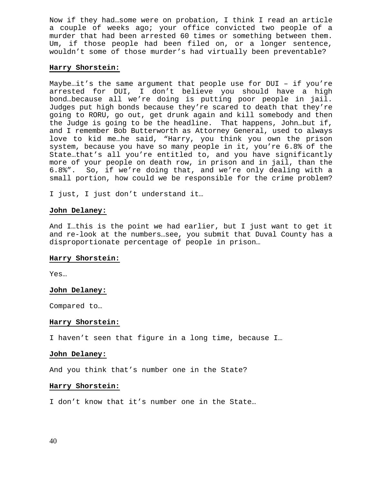Now if they had…some were on probation, I think I read an article a couple of weeks ago; your office convicted two people of a murder that had been arrested 60 times or something between them. Um, if those people had been filed on, or a longer sentence, wouldn't some of those murder's had virtually been preventable?

# **Harry Shorstein:**

Maybe…it's the same argument that people use for DUI – if you're arrested for DUI, I don't believe you should have a high bond…because all we're doing is putting poor people in jail. Judges put high bonds because they're scared to death that they're going to RORU, go out, get drunk again and kill somebody and then the Judge is going to be the headline. That happens, John…but if, and I remember Bob Butterworth as Attorney General, used to always love to kid me…he said, "Harry, you think you own the prison system, because you have so many people in it, you're 6.8% of the State…that's all you're entitled to, and you have significantly more of your people on death row, in prison and in jail, than the 6.8%". So, if we're doing that, and we're only dealing with a small portion, how could we be responsible for the crime problem?

I just, I just don't understand it…

#### **John Delaney:**

And I…this is the point we had earlier, but I just want to get it and re-look at the numbers…see, you submit that Duval County has a disproportionate percentage of people in prison…

#### **Harry Shorstein:**

Yes…

#### **John Delaney:**

Compared to…

#### **Harry Shorstein:**

I haven't seen that figure in a long time, because I…

#### **John Delaney:**

And you think that's number one in the State?

# **Harry Shorstein:**

I don't know that it's number one in the State…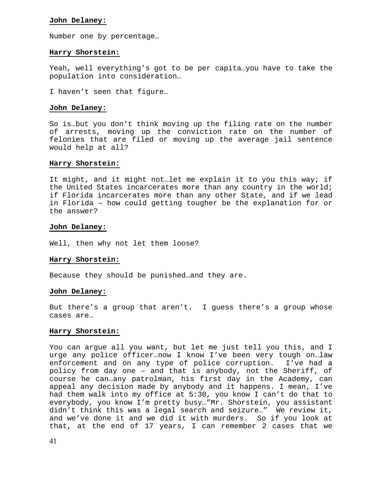# **John Delaney:**

Number one by percentage…

# **Harry Shorstein:**

Yeah, well everything's got to be per capita…you have to take the population into consideration…

I haven't seen that figure…

#### **John Delaney:**

So is…but you don't think moving up the filing rate on the number of arrests, moving up the conviction rate on the number of felonies that are filed or moving up the average jail sentence would help at all?

#### **Harry Shorstein:**

It might, and it might not…let me explain it to you this way; if the United States incarcerates more than any country in the world; if Florida incarcerates more than any other State, and if we lead in Florida – how could getting tougher be the explanation for or the answer?

#### **John Delaney:**

Well, then why not let them loose?

# **Harry Shorstein:**

Because they should be punished…and they are.

# **John Delaney:**

But there's a group that aren't. I guess there's a group whose cases are…

#### **Harry Shorstein:**

You can argue all you want, but let me just tell you this, and I urge any police officer…now I know I've been very tough on…law enforcement and on any type of police corruption. I've had a policy from day one – and that is anybody, not the Sheriff, of course he can…any patrolman, his first day in the Academy, can appeal any decision made by anybody and it happens. I mean, I've had them walk into my office at 5:30, you know I can't do that to everybody, you know I'm pretty busy…"Mr. Shorstein, you assistant didn't think this was a legal search and seizure…" We review it, and we've done it and we did it with murders. So if you look at that, at the end of 17 years, I can remember 2 cases that we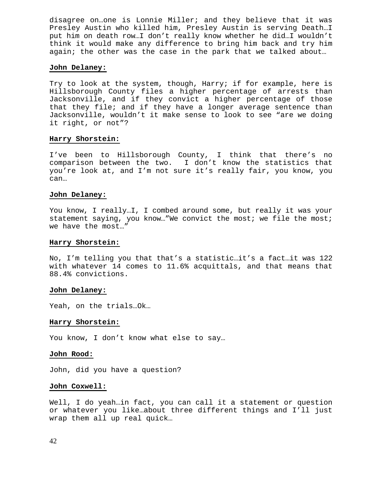disagree on…one is Lonnie Miller; and they believe that it was Presley Austin who killed him, Presley Austin is serving Death…I put him on death row…I don't really know whether he did…I wouldn't think it would make any difference to bring him back and try him again; the other was the case in the park that we talked about…

# **John Delaney:**

Try to look at the system, though, Harry; if for example, here is Hillsborough County files a higher percentage of arrests than Jacksonville, and if they convict a higher percentage of those that they file; and if they have a longer average sentence than Jacksonville, wouldn't it make sense to look to see "are we doing it right, or not"?

#### **Harry Shorstein:**

I've been to Hillsborough County, I think that there's no comparison between the two. I don't know the statistics that you're look at, and I'm not sure it's really fair, you know, you can…

#### **John Delaney:**

You know, I really…I, I combed around some, but really it was your statement saying, you know…"We convict the most; we file the most; we have the most…"

#### **Harry Shorstein:**

No, I'm telling you that that's a statistic…it's a fact…it was 122 with whatever 14 comes to 11.6% acquittals, and that means that 88.4% convictions.

#### **John Delaney:**

Yeah, on the trials…Ok…

#### **Harry Shorstein:**

You know, I don't know what else to say…

# **John Rood:**

John, did you have a question?

# **John Coxwell:**

Well, I do yeah…in fact, you can call it a statement or question or whatever you like…about three different things and I'll just wrap them all up real quick…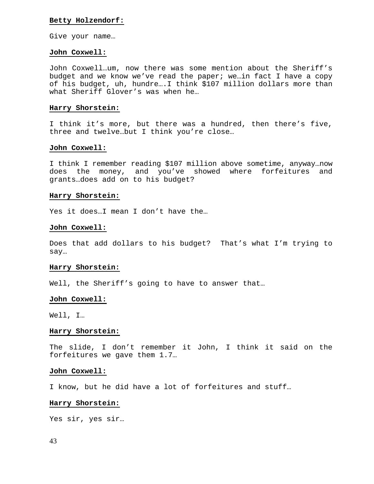## **Betty Holzendorf:**

Give your name…

#### **John Coxwell:**

John Coxwell…um, now there was some mention about the Sheriff's budget and we know we've read the paper; we…in fact I have a copy of his budget, uh, hundre….I think \$107 million dollars more than what Sheriff Glover's was when he…

# **Harry Shorstein:**

I think it's more, but there was a hundred, then there's five, three and twelve…but I think you're close…

#### **John Coxwell:**

I think I remember reading \$107 million above sometime, anyway…now does the money, and you've showed where forfeitures and grants…does add on to his budget?

#### **Harry Shorstein:**

Yes it does…I mean I don't have the…

#### **John Coxwell:**

Does that add dollars to his budget? That's what I'm trying to say…

#### **Harry Shorstein:**

Well, the Sheriff's going to have to answer that...

#### **John Coxwell:**

Well, I…

#### **Harry Shorstein:**

The slide, I don't remember it John, I think it said on the forfeitures we gave them 1.7…

#### **John Coxwell:**

I know, but he did have a lot of forfeitures and stuff…

# **Harry Shorstein:**

Yes sir, yes sir…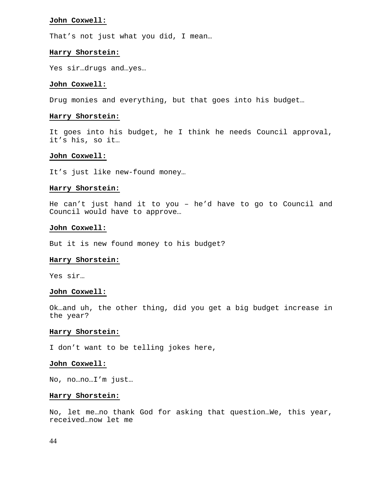#### **John Coxwell:**

That's not just what you did, I mean…

#### **Harry Shorstein:**

Yes sir…drugs and…yes…

# **John Coxwell:**

Drug monies and everything, but that goes into his budget…

#### **Harry Shorstein:**

It goes into his budget, he I think he needs Council approval, it's his, so it…

### **John Coxwell:**

It's just like new-found money…

#### **Harry Shorstein:**

He can't just hand it to you – he'd have to go to Council and Council would have to approve…

#### **John Coxwell:**

But it is new found money to his budget?

#### **Harry Shorstein:**

Yes sir…

#### **John Coxwell:**

Ok…and uh, the other thing, did you get a big budget increase in the year?

#### **Harry Shorstein:**

I don't want to be telling jokes here,

#### **John Coxwell:**

No, no…no…I'm just…

#### **Harry Shorstein:**

No, let me…no thank God for asking that question…We, this year, received…now let me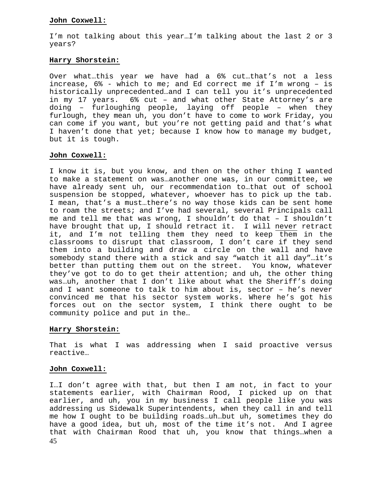# **John Coxwell:**

I'm not talking about this year…I'm talking about the last 2 or 3 years?

# **Harry Shorstein:**

Over what…this year we have had a 6% cut…that's not a less increase, 6% - which to me; and Ed correct me if I'm wrong – is historically unprecedented…and I can tell you it's unprecedented in my 17 years. 6% cut – and what other State Attorney's are doing – furloughing people, laying off people – when they furlough, they mean uh, you don't have to come to work Friday, you can come if you want, but you're not getting paid and that's what I haven't done that yet; because I know how to manage my budget, but it is tough.

# **John Coxwell:**

I know it is, but you know, and then on the other thing I wanted to make a statement on was…another one was, in our committee, we have already sent uh, our recommendation to…that out of school suspension be stopped, whatever, whoever has to pick up the tab. I mean, that's a must…there's no way those kids can be sent home to roam the streets; and I've had several, several Principals call me and tell me that was wrong, I shouldn't do that – I shouldn't have brought that up, I should retract it. I will never retract it, and I'm not telling them they need to keep them in the classrooms to disrupt that classroom, I don't care if they send them into a building and draw a circle on the wall and have somebody stand there with a stick and say "watch it all day"…it's better than putting them out on the street. You know, whatever they've got to do to get their attention; and uh, the other thing was…uh, another that I don't like about what the Sheriff's doing and I want someone to talk to him about is, sector – he's never convinced me that his sector system works. Where he's got his forces out on the sector system, I think there ought to be community police and put in the…

# **Harry Shorstein:**

That is what I was addressing when I said proactive versus reactive…

# **John Coxwell:**

45 I…I don't agree with that, but then I am not, in fact to your statements earlier, with Chairman Rood, I picked up on that earlier, and uh, you in my business I call people like you was addressing us Sidewalk Superintendents, when they call in and tell me how I ought to be building roads…uh…but uh, sometimes they do have a good idea, but uh, most of the time it's not. And I agree that with Chairman Rood that uh, you know that things…when a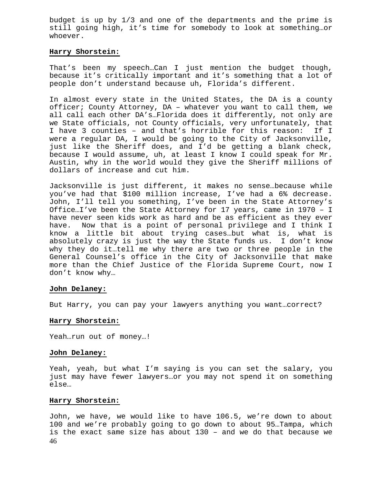budget is up by 1/3 and one of the departments and the prime is still going high, it's time for somebody to look at something…or whoever.

## **Harry Shorstein:**

That's been my speech…Can I just mention the budget though, because it's critically important and it's something that a lot of people don't understand because uh, Florida's different.

In almost every state in the United States, the DA is a county officer; County Attorney, DA – whatever you want to call them, we all call each other DA's…Florida does it differently, not only are we State officials, not County officials, very unfortunately, that I have 3 counties – and that's horrible for this reason: If I were a regular DA, I would be going to the City of Jacksonville, just like the Sheriff does, and I'd be getting a blank check, because I would assume, uh, at least I know I could speak for Mr. Austin, why in the world would they give the Sheriff millions of dollars of increase and cut him.

Jacksonville is just different, it makes no sense…because while you've had that \$100 million increase, I've had a 6% decrease. John, I'll tell you something, I've been in the State Attorney's Office…I've been the State Attorney for 17 years, came in 1970 – I have never seen kids work as hard and be as efficient as they ever have. Now that is a point of personal privilege and I think I know a little bit about trying cases…but what is, what is absolutely crazy is just the way the State funds us. I don't know why they do it…tell me why there are two or three people in the General Counsel's office in the City of Jacksonville that make more than the Chief Justice of the Florida Supreme Court, now I don't know why…

# **John Delaney:**

But Harry, you can pay your lawyers anything you want…correct?

# **Harry Shorstein:**

Yeah…run out of money…!

#### **John Delaney:**

Yeah, yeah, but what I'm saying is you can set the salary, you just may have fewer lawyers…or you may not spend it on something else…

# **Harry Shorstein:**

46 John, we have, we would like to have 106.5, we're down to about 100 and we're probably going to go down to about 95…Tampa, which is the exact same size has about 130 – and we do that because we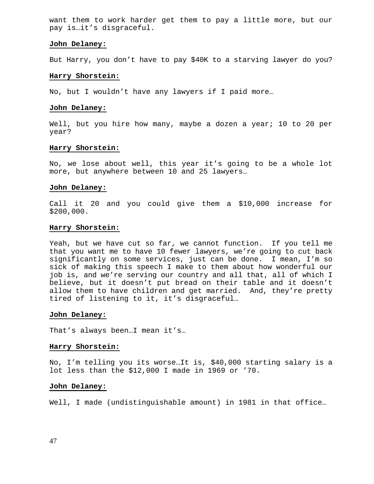want them to work harder get them to pay a little more, but our pay is…it's disgraceful.

#### **John Delaney:**

But Harry, you don't have to pay \$40K to a starving lawyer do you?

#### **Harry Shorstein:**

No, but I wouldn't have any lawyers if I paid more…

#### **John Delaney:**

Well, but you hire how many, maybe a dozen a year; 10 to 20 per year?

# **Harry Shorstein:**

No, we lose about well, this year it's going to be a whole lot more, but anywhere between 10 and 25 lawyers…

#### **John Delaney:**

Call it 20 and you could give them a \$10,000 increase for \$200,000.

#### **Harry Shorstein:**

Yeah, but we have cut so far, we cannot function. If you tell me that you want me to have 10 fewer lawyers, we're going to cut back significantly on some services, just can be done. I mean, I'm so sick of making this speech I make to them about how wonderful our job is, and we're serving our country and all that, all of which I believe, but it doesn't put bread on their table and it doesn't allow them to have children and get married. And, they're pretty tired of listening to it, it's disgraceful…

#### **John Delaney:**

That's always been…I mean it's…

#### **Harry Shorstein:**

No, I'm telling you its worse…It is, \$40,000 starting salary is a lot less than the \$12,000 I made in 1969 or '70.

#### **John Delaney:**

Well, I made (undistinguishable amount) in 1981 in that office...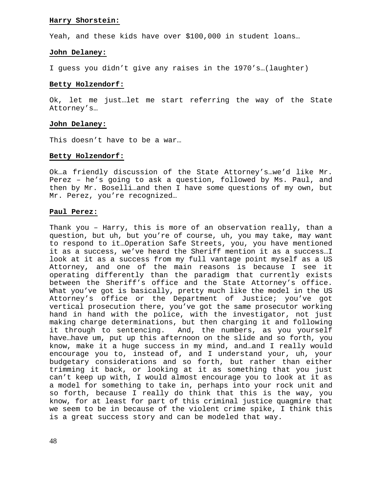# **Harry Shorstein:**

Yeah, and these kids have over \$100,000 in student loans…

# **John Delaney:**

I guess you didn't give any raises in the 1970's…(laughter)

# **Betty Holzendorf:**

Ok, let me just…let me start referring the way of the State Attorney's…

# **John Delaney:**

This doesn't have to be a war…

# **Betty Holzendorf:**

Ok…a friendly discussion of the State Attorney's…we'd like Mr. Perez – he's going to ask a question, followed by Ms. Paul, and then by Mr. Boselli…and then I have some questions of my own, but Mr. Perez, you're recognized…

# **Paul Perez:**

Thank you – Harry, this is more of an observation really, than a question, but uh, but you're of course, uh, you may take, may want to respond to it…Operation Safe Streets, you, you have mentioned it as a success, we've heard the Sheriff mention it as a success…I look at it as a success from my full vantage point myself as a US Attorney, and one of the main reasons is because I see it operating differently than the paradigm that currently exists between the Sheriff's office and the State Attorney's office. What you've got is basically, pretty much like the model in the US Attorney's office or the Department of Justice; you've got vertical prosecution there, you've got the same prosecutor working hand in hand with the police, with the investigator, not just making charge determinations, but then charging it and following it through to sentencing. And, the numbers, as you yourself have…have um, put up this afternoon on the slide and so forth, you know, make it a huge success in my mind, and…and I really would encourage you to, instead of, and I understand your, uh, your budgetary considerations and so forth, but rather than either trimming it back, or looking at it as something that you just can't keep up with, I would almost encourage you to look at it as a model for something to take in, perhaps into your rock unit and so forth, because I really do think that this is the way, you know, for at least for part of this criminal justice quagmire that we seem to be in because of the violent crime spike, I think this is a great success story and can be modeled that way.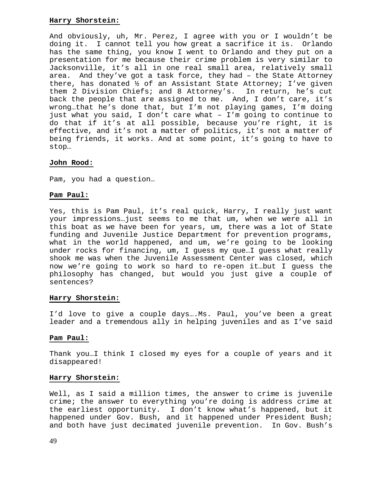# **Harry Shorstein:**

And obviously, uh, Mr. Perez, I agree with you or I wouldn't be doing it. I cannot tell you how great a sacrifice it is. Orlando has the same thing, you know I went to Orlando and they put on a presentation for me because their crime problem is very similar to Jacksonville, it's all in one real small area, relatively small area. And they've got a task force, they had – the State Attorney there, has donated ½ of an Assistant State Attorney; I've given them 2 Division Chiefs; and 8 Attorney's. In return, he's cut back the people that are assigned to me. And, I don't care, it's wrong…that he's done that, but I'm not playing games, I'm doing just what you said, I don't care what – I'm going to continue to do that if it's at all possible, because you're right, it is effective, and it's not a matter of politics, it's not a matter of being friends, it works. And at some point, it's going to have to stop…

# **John Rood:**

Pam, you had a question…

# **Pam Paul:**

Yes, this is Pam Paul, it's real quick, Harry, I really just want your impressions…just seems to me that um, when we were all in this boat as we have been for years, um, there was a lot of State funding and Juvenile Justice Department for prevention programs, what in the world happened, and um, we're going to be looking under rocks for financing, um, I guess my que…I guess what really shook me was when the Juvenile Assessment Center was closed, which now we're going to work so hard to re-open it…but I guess the philosophy has changed, but would you just give a couple of sentences?

# **Harry Shorstein:**

I'd love to give a couple days….Ms. Paul, you've been a great leader and a tremendous ally in helping juveniles and as I've said

# **Pam Paul:**

Thank you…I think I closed my eyes for a couple of years and it disappeared!

# **Harry Shorstein:**

Well, as I said a million times, the answer to crime is juvenile crime; the answer to everything you're doing is address crime at the earliest opportunity. I don't know what's happened, but it happened under Gov. Bush, and it happened under President Bush; and both have just decimated juvenile prevention. In Gov. Bush's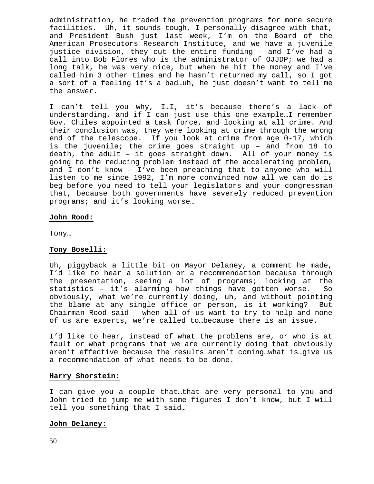administration, he traded the prevention programs for more secure facilities. Uh, it sounds tough, I personally disagree with that, and President Bush just last week, I'm on the Board of the American Prosecutors Research Institute, and we have a juvenile justice division, they cut the entire funding – and I've had a call into Bob Flores who is the administrator of OJJDP; we had a long talk, he was very nice, but when he hit the money and I've called him 3 other times and he hasn't returned my call, so I got a sort of a feeling it's a bad…uh, he just doesn't want to tell me the answer.

I can't tell you why, I…I, it's because there's a lack of understanding, and if I can just use this one example…I remember Gov. Chiles appointed a task force, and looking at all crime. And their conclusion was, they were looking at crime through the wrong end of the telescope. If you look at crime from age 0-17, which is the juvenile; the crime goes straight up – and from 18 to death, the adult – it goes straight down. All of your money is going to the reducing problem instead of the accelerating problem, and I don't know – I've been preaching that to anyone who will listen to me since 1992, I'm more convinced now all we can do is beg before you need to tell your legislators and your congressman that, because both governments have severely reduced prevention programs; and it's looking worse…

### **John Rood:**

Tony…

# **Tony Boselli:**

Uh, piggyback a little bit on Mayor Delaney, a comment he made, I'd like to hear a solution or a recommendation because through the presentation, seeing a lot of programs; looking at the statistics – it's alarming how things have gotten worse. So obviously, what we're currently doing, uh, and without pointing the blame at any single office or person, is it working? But Chairman Rood said – when all of us want to try to help and none of us are experts, we're called to…because there is an issue.

I'd like to hear, instead of what the problems are, or who is at fault or what programs that we are currently doing that obviously aren't effective because the results aren't coming…what is…give us a recommendation of what needs to be done.

# **Harry Shorstein:**

I can give you a couple that…that are very personal to you and John tried to jump me with some figures I don't know, but I will tell you something that I said…

# **John Delaney:**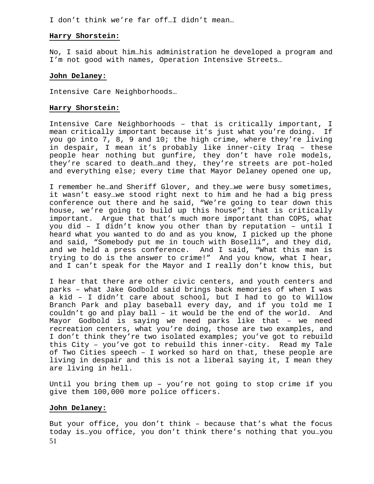I don't think we're far off…I didn't mean…

# **Harry Shorstein:**

No, I said about him…his administration he developed a program and I'm not good with names, Operation Intensive Streets…

# **John Delaney:**

Intensive Care Neighborhoods…

# **Harry Shorstein:**

Intensive Care Neighborhoods – that is critically important, I mean critically important because it's just what you're doing. If you go into 7, 8, 9 and 10; the high crime, where they're living in despair, I mean it's probably like inner-city Iraq – these people hear nothing but gunfire, they don't have role models, they're scared to death…and they, they're streets are pot-holed and everything else; every time that Mayor Delaney opened one up,

I remember he…and Sheriff Glover, and they…we were busy sometimes, it wasn't easy…we stood right next to him and he had a big press conference out there and he said, "We're going to tear down this house, we're going to build up this house"; that is critically important. Argue that that's much more important than COPS, what you did – I didn't know you other than by reputation – until I heard what you wanted to do and as you know, I picked up the phone and said, "Somebody put me in touch with Boselli", and they did, and we held a press conference. And I said, "What this man is trying to do is the answer to crime!" And you know, what I hear, and I can't speak for the Mayor and I really don't know this, but

I hear that there are other civic centers, and youth centers and parks – what Jake Godbold said brings back memories of when I was a kid – I didn't care about school, but I had to go to Willow Branch Park and play baseball every day, and if you told me I couldn't go and play ball – it would be the end of the world. And Mayor Godbold is saying we need parks like that – we need recreation centers, what you're doing, those are two examples, and I don't think they're two isolated examples; you've got to rebuild this City – you've got to rebuild this inner-city. Read my Tale of Two Cities speech – I worked so hard on that, these people are living in despair and this is not a liberal saying it, I mean they are living in hell.

Until you bring them up – you're not going to stop crime if you give them 100,000 more police officers.

# **John Delaney:**

51 But your office, you don't think – because that's what the focus today is…you office, you don't think there's nothing that you…you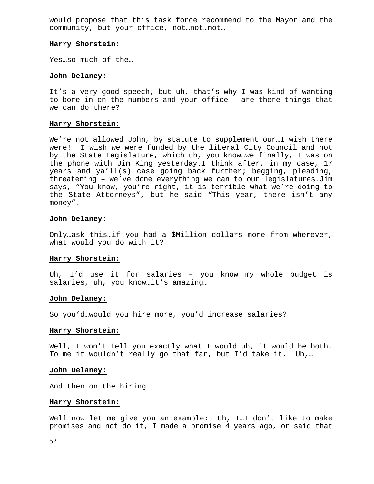would propose that this task force recommend to the Mayor and the community, but your office, not…not…not…

#### **Harry Shorstein:**

Yes…so much of the…

#### **John Delaney:**

It's a very good speech, but uh, that's why I was kind of wanting to bore in on the numbers and your office – are there things that we can do there?

#### **Harry Shorstein:**

We're not allowed John, by statute to supplement our…I wish there were! I wish we were funded by the liberal City Council and not by the State Legislature, which uh, you know…we finally, I was on the phone with Jim King yesterday…I think after, in my case, 17 years and ya'll(s) case going back further; begging, pleading, threatening – we've done everything we can to our legislatures…Jim says, "You know, you're right, it is terrible what we're doing to the State Attorneys", but he said "This year, there isn't any money".

#### **John Delaney:**

Only…ask this…if you had a \$Million dollars more from wherever, what would you do with it?

# **Harry Shorstein:**

Uh, I'd use it for salaries – you know my whole budget is salaries, uh, you know...it's amazing...

#### **John Delaney:**

So you'd…would you hire more, you'd increase salaries?

#### **Harry Shorstein:**

Well, I won't tell you exactly what I would…uh, it would be both. To me it wouldn't really go that far, but I'd take it. Uh,…

#### **John Delaney:**

And then on the hiring…

#### **Harry Shorstein:**

Well now let me give you an example: Uh, I…I don't like to make promises and not do it, I made a promise 4 years ago, or said that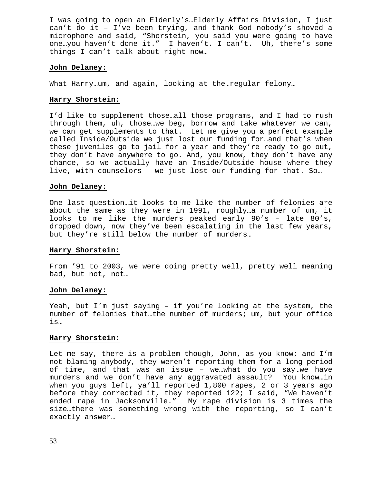I was going to open an Elderly's…Elderly Affairs Division, I just can't do it – I've been trying, and thank God nobody's shoved a microphone and said, "Shorstein, you said you were going to have one…you haven't done it." I haven't. I can't. Uh, there's some things I can't talk about right now…

# **John Delaney:**

What Harry…um, and again, looking at the…regular felony…

#### **Harry Shorstein:**

I'd like to supplement those…all those programs, and I had to rush through them, uh, those…we beg, borrow and take whatever we can, we can get supplements to that. Let me give you a perfect example called Inside/Outside we just lost our funding for…and that's when these juveniles go to jail for a year and they're ready to go out, they don't have anywhere to go. And, you know, they don't have any chance, so we actually have an Inside/Outside house where they live, with counselors – we just lost our funding for that. So…

#### **John Delaney:**

One last question…it looks to me like the number of felonies are about the same as they were in 1991, roughly…a number of um, it looks to me like the murders peaked early 90's – late 80's, dropped down, now they've been escalating in the last few years, but they're still below the number of murders…

#### **Harry Shorstein:**

From '91 to 2003, we were doing pretty well, pretty well meaning bad, but not, not…

#### **John Delaney:**

Yeah, but I'm just saying – if you're looking at the system, the number of felonies that…the number of murders; um, but your office is…

#### **Harry Shorstein:**

Let me say, there is a problem though, John, as you know; and I'm not blaming anybody, they weren't reporting them for a long period of time, and that was an issue – we…what do you say…we have murders and we don't have any aggravated assault? You know…in when you guys left, ya'll reported 1,800 rapes, 2 or 3 years ago before they corrected it, they reported 122; I said, "We haven't ended rape in Jacksonville." My rape division is 3 times the size…there was something wrong with the reporting, so I can't exactly answer…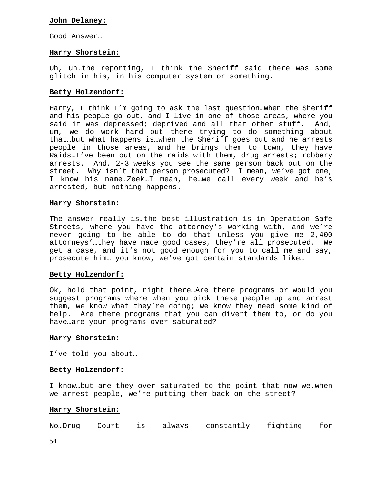# **John Delaney:**

Good Answer…

# **Harry Shorstein:**

Uh, uh…the reporting, I think the Sheriff said there was some glitch in his, in his computer system or something.

# **Betty Holzendorf:**

Harry, I think I'm going to ask the last question…When the Sheriff and his people go out, and I live in one of those areas, where you said it was depressed; deprived and all that other stuff. And, um, we do work hard out there trying to do something about that…but what happens is…when the Sheriff goes out and he arrests people in those areas, and he brings them to town, they have Raids…I've been out on the raids with them, drug arrests; robbery arrests. And, 2-3 weeks you see the same person back out on the street. Why isn't that person prosecuted? I mean, we've got one, I know his name…Zeek…I mean, he…we call every week and he's arrested, but nothing happens.

# **Harry Shorstein:**

The answer really is…the best illustration is in Operation Safe Streets, where you have the attorney's working with, and we're never going to be able to do that unless you give me 2,400 attorneys'…they have made good cases, they're all prosecuted. We get a case, and it's not good enough for you to call me and say, prosecute him… you know, we've got certain standards like…

#### **Betty Holzendorf:**

Ok, hold that point, right there…Are there programs or would you suggest programs where when you pick these people up and arrest them, we know what they're doing; we know they need some kind of help. Are there programs that you can divert them to, or do you have…are your programs over saturated?

#### **Harry Shorstein:**

I've told you about…

#### **Betty Holzendorf:**

I know…but are they over saturated to the point that now we…when we arrest people, we're putting them back on the street?

# **Harry Shorstein:**

No…Drug Court is always constantly fighting for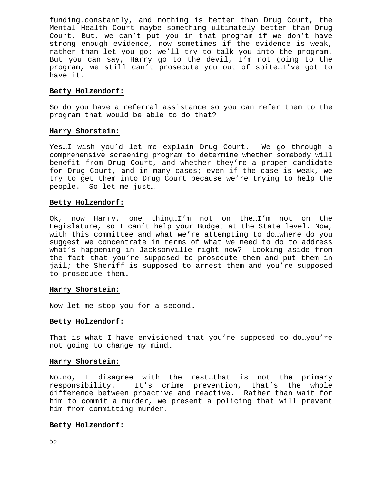funding…constantly, and nothing is better than Drug Court, the Mental Health Court maybe something ultimately better than Drug Court. But, we can't put you in that program if we don't have strong enough evidence, now sometimes if the evidence is weak, rather than let you go; we'll try to talk you into the program. But you can say, Harry go to the devil, I'm not going to the program, we still can't prosecute you out of spite…I've got to have it…

#### **Betty Holzendorf:**

So do you have a referral assistance so you can refer them to the program that would be able to do that?

# **Harry Shorstein:**

Yes…I wish you'd let me explain Drug Court. We go through a comprehensive screening program to determine whether somebody will benefit from Drug Court, and whether they're a proper candidate for Drug Court, and in many cases; even if the case is weak, we try to get them into Drug Court because we're trying to help the people. So let me just…

#### **Betty Holzendorf:**

Ok, now Harry, one thing…I'm not on the…I'm not on the Legislature, so I can't help your Budget at the State level. Now, with this committee and what we're attempting to do…where do you suggest we concentrate in terms of what we need to do to address what's happening in Jacksonville right now? Looking aside from the fact that you're supposed to prosecute them and put them in jail; the Sheriff is supposed to arrest them and you're supposed to prosecute them…

# **Harry Shorstein:**

Now let me stop you for a second…

# **Betty Holzendorf:**

That is what I have envisioned that you're supposed to do…you're not going to change my mind…

# **Harry Shorstein:**

No…no, I disagree with the rest…that is not the primary responsibility. It's crime prevention, that's the whole difference between proactive and reactive. Rather than wait for him to commit a murder, we present a policing that will prevent him from committing murder.

# **Betty Holzendorf:**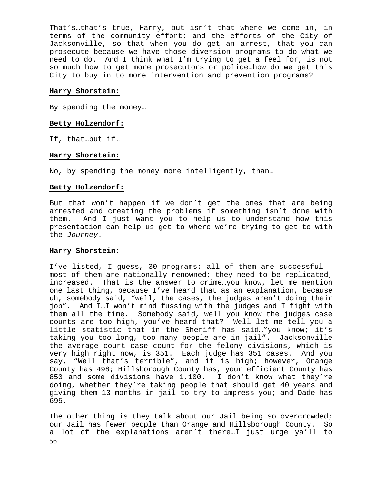That's…that's true, Harry, but isn't that where we come in, in terms of the community effort; and the efforts of the City of Jacksonville, so that when you do get an arrest, that you can prosecute because we have those diversion programs to do what we need to do. And I think what I'm trying to get a feel for, is not so much how to get more prosecutors or police…how do we get this City to buy in to more intervention and prevention programs?

# **Harry Shorstein:**

By spending the money…

# **Betty Holzendorf:**

If, that…but if…

# **Harry Shorstein:**

No, by spending the money more intelligently, than…

# **Betty Holzendorf:**

But that won't happen if we don't get the ones that are being arrested and creating the problems if something isn't done with them. And I just want you to help us to understand how this presentation can help us get to where we're trying to get to with the *Journey*.

# **Harry Shorstein:**

I've listed, I guess, 30 programs; all of them are successful – most of them are nationally renowned; they need to be replicated, increased. That is the answer to crime…you know, let me mention one last thing, because I've heard that as an explanation, because uh, somebody said, "well, the cases, the judges aren't doing their job". And I…I won't mind fussing with the judges and I fight with them all the time. Somebody said, well you know the judges case counts are too high, you've heard that? Well let me tell you a little statistic that in the Sheriff has said…"you know; it's taking you too long, too many people are in jail". Jacksonville the average court case count for the felony divisions, which is very high right now, is 351. Each judge has 351 cases. And you say, "Well that's terrible", and it is high; however, Orange County has 498; Hillsborough County has, your efficient County has 850 and some divisions have 1,100. I don't know what they're doing, whether they're taking people that should get 40 years and giving them 13 months in jail to try to impress you; and Dade has 695.

56 The other thing is they talk about our Jail being so overcrowded; our Jail has fewer people than Orange and Hillsborough County. So a lot of the explanations aren't there…I just urge ya'll to